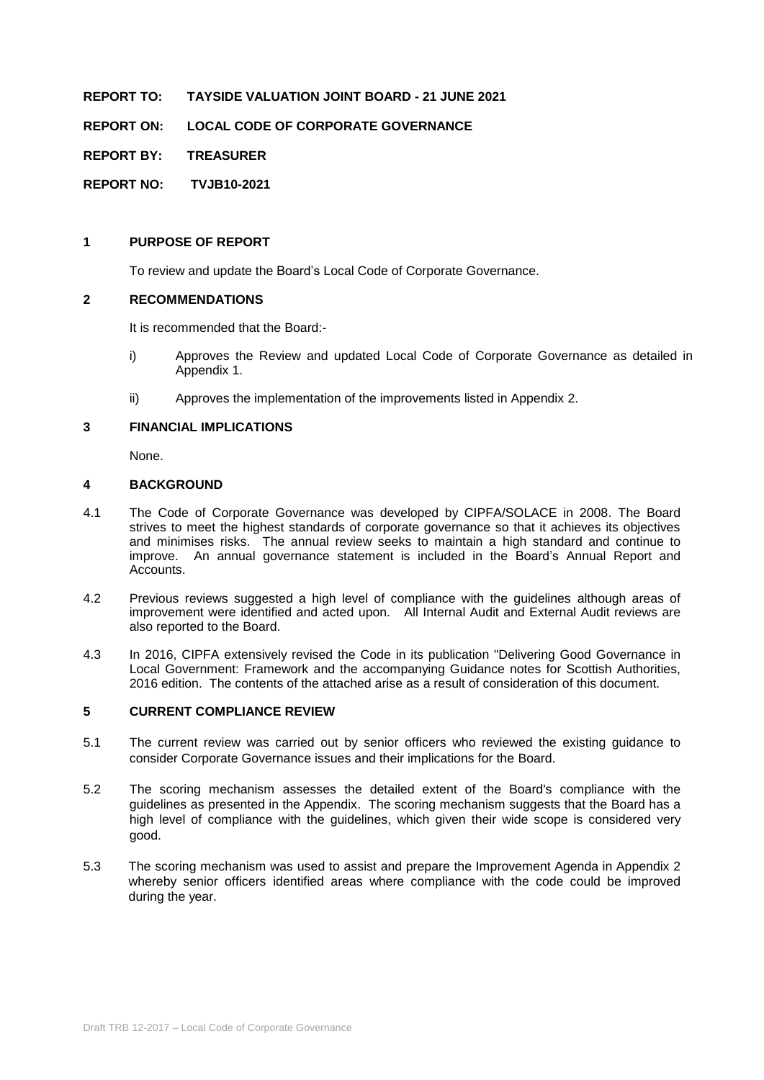#### **REPORT TO: TAYSIDE VALUATION JOINT BOARD - 21 JUNE 2021**

**REPORT ON: LOCAL CODE OF CORPORATE GOVERNANCE**

**REPORT BY: TREASURER** 

**REPORT NO: TVJB10-2021**

#### **1 PURPOSE OF REPORT**

To review and update the Board's Local Code of Corporate Governance.

#### **2 RECOMMENDATIONS**

It is recommended that the Board:-

- i) Approves the Review and updated Local Code of Corporate Governance as detailed in Appendix 1.
- ii) Approves the implementation of the improvements listed in Appendix 2.

#### **3 FINANCIAL IMPLICATIONS**

None.

#### **4 BACKGROUND**

- 4.1 The Code of Corporate Governance was developed by CIPFA/SOLACE in 2008. The Board strives to meet the highest standards of corporate governance so that it achieves its objectives and minimises risks. The annual review seeks to maintain a high standard and continue to improve. An annual governance statement is included in the Board's Annual Report and Accounts.
- 4.2 Previous reviews suggested a high level of compliance with the guidelines although areas of improvement were identified and acted upon. All Internal Audit and External Audit reviews are also reported to the Board.
- 4.3 In 2016, CIPFA extensively revised the Code in its publication "Delivering Good Governance in Local Government: Framework and the accompanying Guidance notes for Scottish Authorities, 2016 edition. The contents of the attached arise as a result of consideration of this document.

#### **5 CURRENT COMPLIANCE REVIEW**

- 5.1 The current review was carried out by senior officers who reviewed the existing guidance to consider Corporate Governance issues and their implications for the Board.
- 5.2 The scoring mechanism assesses the detailed extent of the Board's compliance with the guidelines as presented in the Appendix. The scoring mechanism suggests that the Board has a high level of compliance with the guidelines, which given their wide scope is considered very good.
- 5.3 The scoring mechanism was used to assist and prepare the Improvement Agenda in Appendix 2 whereby senior officers identified areas where compliance with the code could be improved during the year.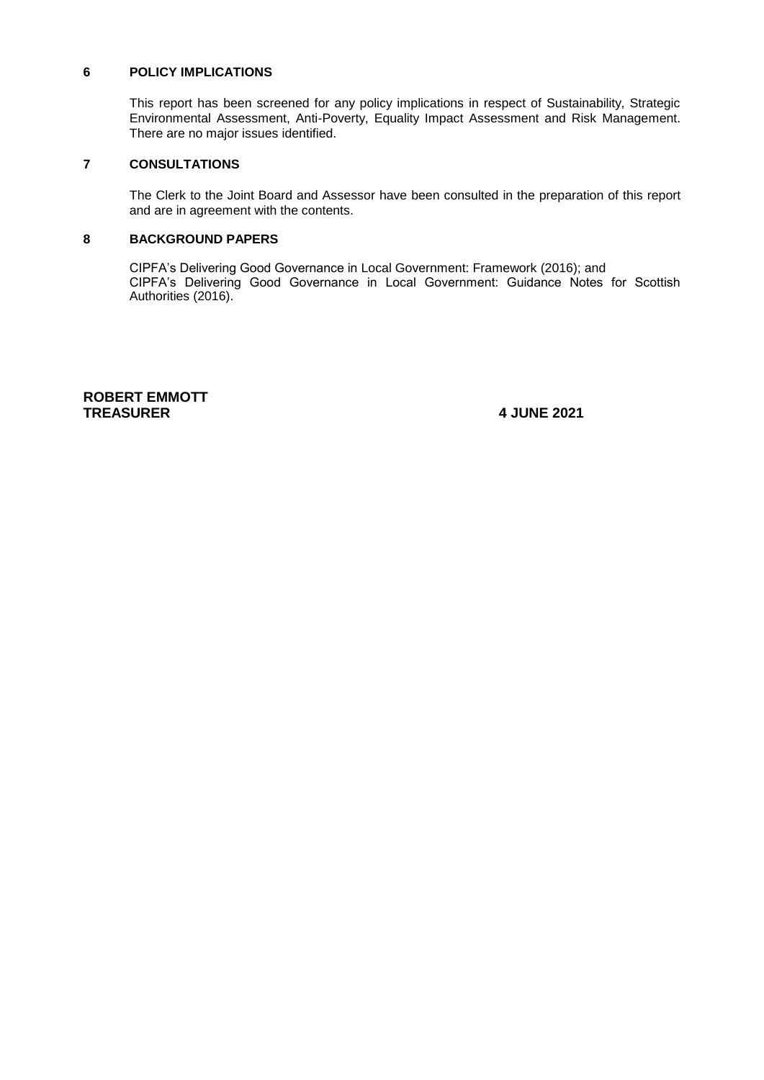#### **6 POLICY IMPLICATIONS**

This report has been screened for any policy implications in respect of Sustainability, Strategic Environmental Assessment, Anti-Poverty, Equality Impact Assessment and Risk Management. There are no major issues identified.

## **7 CONSULTATIONS**

The Clerk to the Joint Board and Assessor have been consulted in the preparation of this report and are in agreement with the contents.

#### **8 BACKGROUND PAPERS**

CIPFA's Delivering Good Governance in Local Government: Framework (2016); and CIPFA's Delivering Good Governance in Local Government: Guidance Notes for Scottish Authorities (2016).

#### **ROBERT EMMOTT TREASURER 4 JUNE 2021**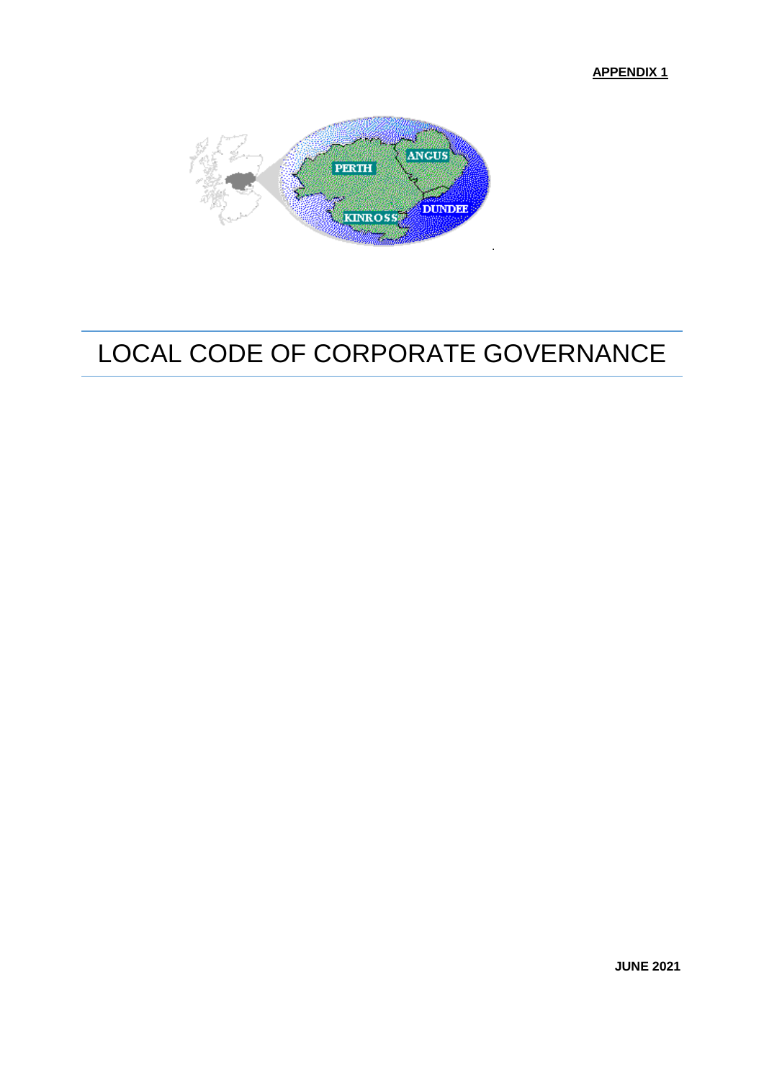**APPENDIX 1**



# LOCAL CODE OF CORPORATE GOVERNANCE

**JUNE 2021**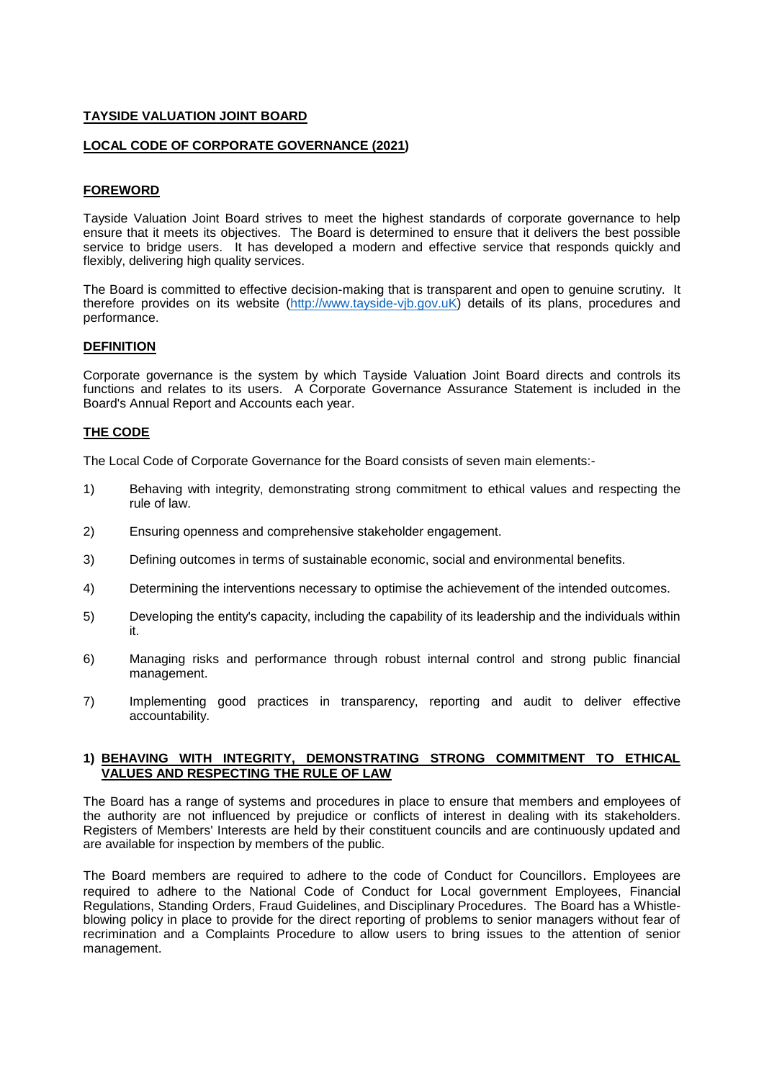#### **TAYSIDE VALUATION JOINT BOARD**

#### **LOCAL CODE OF CORPORATE GOVERNANCE (2021)**

#### **FOREWORD**

Tayside Valuation Joint Board strives to meet the highest standards of corporate governance to help ensure that it meets its objectives. The Board is determined to ensure that it delivers the best possible service to bridge users. It has developed a modern and effective service that responds quickly and flexibly, delivering high quality services.

The Board is committed to effective decision-making that is transparent and open to genuine scrutiny. It therefore provides on its website [\(http://www.tayside-vjb.gov.uK\)](http://www.tayside-vjb.gov.uk/index.htm) details of its plans, procedures and performance.

#### **DEFINITION**

Corporate governance is the system by which Tayside Valuation Joint Board directs and controls its functions and relates to its users. A Corporate Governance Assurance Statement is included in the Board's Annual Report and Accounts each year.

#### **THE CODE**

The Local Code of Corporate Governance for the Board consists of seven main elements:-

- 1) Behaving with integrity, demonstrating strong commitment to ethical values and respecting the rule of law.
- 2) Ensuring openness and comprehensive stakeholder engagement.
- 3) Defining outcomes in terms of sustainable economic, social and environmental benefits.
- 4) Determining the interventions necessary to optimise the achievement of the intended outcomes.
- 5) Developing the entity's capacity, including the capability of its leadership and the individuals within it.
- 6) Managing risks and performance through robust internal control and strong public financial management.
- 7) Implementing good practices in transparency, reporting and audit to deliver effective accountability.

#### **1) BEHAVING WITH INTEGRITY, DEMONSTRATING STRONG COMMITMENT TO ETHICAL VALUES AND RESPECTING THE RULE OF LAW**

The Board has a range of systems and procedures in place to ensure that members and employees of the authority are not influenced by prejudice or conflicts of interest in dealing with its stakeholders. Registers of Members' Interests are held by their constituent councils and are continuously updated and are available for inspection by members of the public.

The Board members are required to adhere to the code of Conduct for Councillors. Employees are required to adhere to the National Code of Conduct for Local government Employees, Financial Regulations, Standing Orders, Fraud Guidelines, and Disciplinary Procedures. The Board has a Whistleblowing policy in place to provide for the direct reporting of problems to senior managers without fear of recrimination and a Complaints Procedure to allow users to bring issues to the attention of senior management.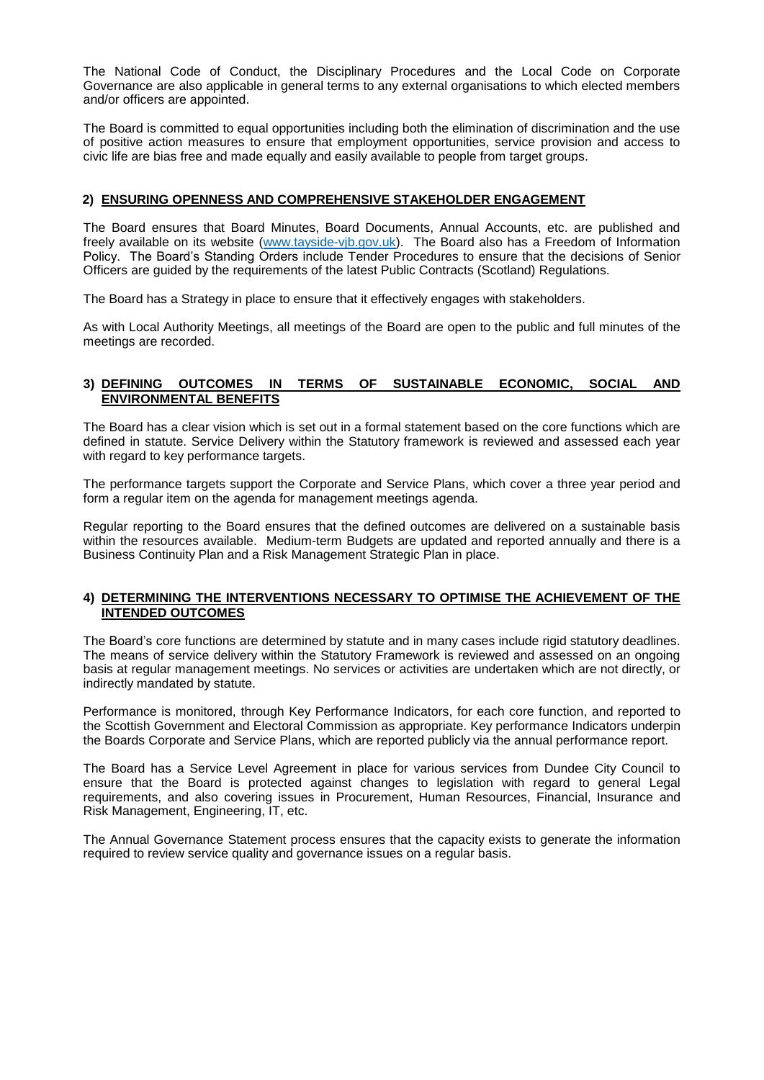The National Code of Conduct, the Disciplinary Procedures and the Local Code on Corporate Governance are also applicable in general terms to any external organisations to which elected members and/or officers are appointed.

The Board is committed to equal opportunities including both the elimination of discrimination and the use of positive action measures to ensure that employment opportunities, service provision and access to civic life are bias free and made equally and easily available to people from target groups.

#### **2) ENSURING OPENNESS AND COMPREHENSIVE STAKEHOLDER ENGAGEMENT**

The Board ensures that Board Minutes, Board Documents, Annual Accounts, etc. are published and freely available on its website [\(www.tayside-vjb.gov.uk\)](http://www.tayside-vjb.gov.uk/pages/pages/boardmeetings.html). The Board also has a Freedom of Information Policy. The Board's Standing Orders include Tender Procedures to ensure that the decisions of Senior Officers are guided by the requirements of the latest Public Contracts (Scotland) Regulations.

The Board has a Strategy in place to ensure that it effectively engages with stakeholders.

As with Local Authority Meetings, all meetings of the Board are open to the public and full minutes of the meetings are recorded.

#### **3) DEFINING OUTCOMES IN TERMS OF SUSTAINABLE ECONOMIC, SOCIAL AND ENVIRONMENTAL BENEFITS**

The Board has a clear vision which is set out in a formal statement based on the core functions which are defined in statute. Service Delivery within the Statutory framework is reviewed and assessed each year with regard to key performance targets.

The performance targets support the Corporate and Service Plans, which cover a three year period and form a regular item on the agenda for management meetings agenda.

Regular reporting to the Board ensures that the defined outcomes are delivered on a sustainable basis within the resources available. Medium-term Budgets are updated and reported annually and there is a Business Continuity Plan and a Risk Management Strategic Plan in place.

#### **4) DETERMINING THE INTERVENTIONS NECESSARY TO OPTIMISE THE ACHIEVEMENT OF THE INTENDED OUTCOMES**

The Board's core functions are determined by statute and in many cases include rigid statutory deadlines. The means of service delivery within the Statutory Framework is reviewed and assessed on an ongoing basis at regular management meetings. No services or activities are undertaken which are not directly, or indirectly mandated by statute.

Performance is monitored, through Key Performance Indicators, for each core function, and reported to the Scottish Government and Electoral Commission as appropriate. Key performance Indicators underpin the Boards Corporate and Service Plans, which are reported publicly via the annual performance report.

The Board has a Service Level Agreement in place for various services from Dundee City Council to ensure that the Board is protected against changes to legislation with regard to general Legal requirements, and also covering issues in Procurement, Human Resources, Financial, Insurance and Risk Management, Engineering, IT, etc.

The Annual Governance Statement process ensures that the capacity exists to generate the information required to review service quality and governance issues on a regular basis.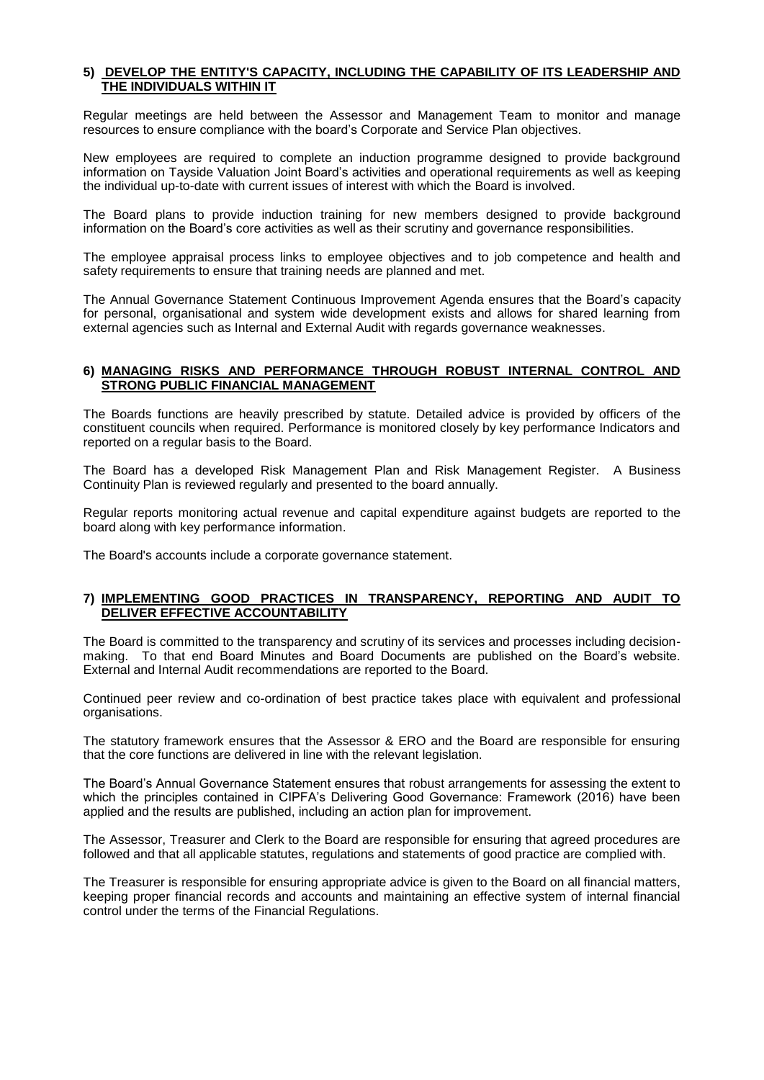#### **5) DEVELOP THE ENTITY'S CAPACITY, INCLUDING THE CAPABILITY OF ITS LEADERSHIP AND THE INDIVIDUALS WITHIN IT**

Regular meetings are held between the Assessor and Management Team to monitor and manage resources to ensure compliance with the board's Corporate and Service Plan objectives.

New employees are required to complete an induction programme designed to provide background information on Tayside Valuation Joint Board's activities and operational requirements as well as keeping the individual up-to-date with current issues of interest with which the Board is involved.

The Board plans to provide induction training for new members designed to provide background information on the Board's core activities as well as their scrutiny and governance responsibilities.

The employee appraisal process links to employee objectives and to job competence and health and safety requirements to ensure that training needs are planned and met.

The Annual Governance Statement Continuous Improvement Agenda ensures that the Board's capacity for personal, organisational and system wide development exists and allows for shared learning from external agencies such as Internal and External Audit with regards governance weaknesses.

#### **6) MANAGING RISKS AND PERFORMANCE THROUGH ROBUST INTERNAL CONTROL AND STRONG PUBLIC FINANCIAL MANAGEMENT**

The Boards functions are heavily prescribed by statute. Detailed advice is provided by officers of the constituent councils when required. Performance is monitored closely by key performance Indicators and reported on a regular basis to the Board.

The Board has a developed Risk Management Plan and Risk Management Register. A Business Continuity Plan is reviewed regularly and presented to the board annually.

Regular reports monitoring actual revenue and capital expenditure against budgets are reported to the board along with key performance information.

The Board's accounts include a corporate governance statement.

#### **7) IMPLEMENTING GOOD PRACTICES IN TRANSPARENCY, REPORTING AND AUDIT TO DELIVER EFFECTIVE ACCOUNTABILITY**

The Board is committed to the transparency and scrutiny of its services and processes including decisionmaking. To that end Board Minutes and Board Documents are published on the Board's website. External and Internal Audit recommendations are reported to the Board.

Continued peer review and co-ordination of best practice takes place with equivalent and professional organisations.

The statutory framework ensures that the Assessor & ERO and the Board are responsible for ensuring that the core functions are delivered in line with the relevant legislation.

The Board's Annual Governance Statement ensures that robust arrangements for assessing the extent to which the principles contained in CIPFA's Delivering Good Governance: Framework (2016) have been applied and the results are published, including an action plan for improvement.

The Assessor, Treasurer and Clerk to the Board are responsible for ensuring that agreed procedures are followed and that all applicable statutes, regulations and statements of good practice are complied with.

The Treasurer is responsible for ensuring appropriate advice is given to the Board on all financial matters, keeping proper financial records and accounts and maintaining an effective system of internal financial control under the terms of the Financial Regulations.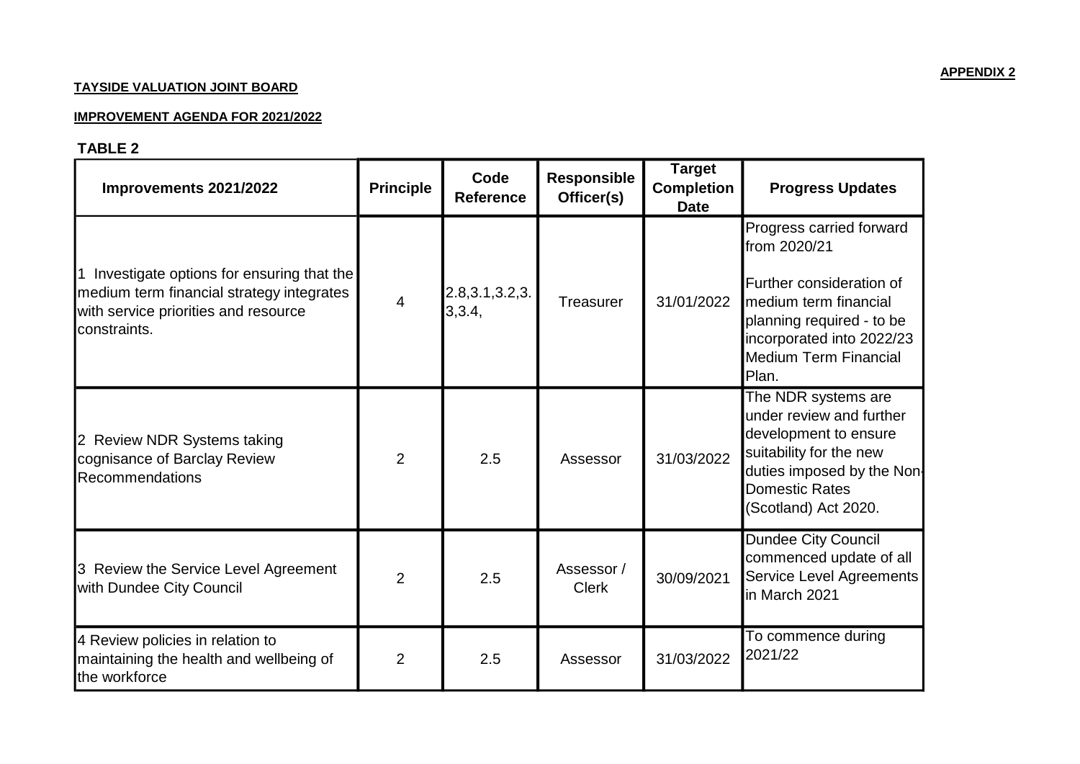## **TAY SIDE VALUATION JOINT BOARD**

#### <u>IMPROVEMENT AGENDA FOR 2021/2022</u>

# **TABLE 2**

| Improvements 2021/2022                                                                                                                         | <b>Principle</b> | Code<br><b>Reference</b>    | <b>Responsible</b><br>Officer(s) | <b>Target</b><br><b>Completion</b><br><b>Date</b> | <b>Progress Updates</b>                                                                                                                                                                          |
|------------------------------------------------------------------------------------------------------------------------------------------------|------------------|-----------------------------|----------------------------------|---------------------------------------------------|--------------------------------------------------------------------------------------------------------------------------------------------------------------------------------------------------|
| Investigate options for ensuring that the<br>medium term financial strategy integrates<br>with service priorities and resource<br>constraints. | $\overline{4}$   | 2.8, 3.1, 3.2, 3.<br>3,3.4, | <b>Treasurer</b>                 | 31/01/2022                                        | Progress carried forward<br>from 2020/21<br>Further consideration of<br>medium term financial<br>planning required - to be<br>incorporated into 2022/23<br><b>Medium Term Financial</b><br>Plan. |
| 2 Review NDR Systems taking<br>cognisance of Barclay Review<br>Recommendations                                                                 | $\overline{2}$   | 2.5                         | Assessor                         | 31/03/2022                                        | The NDR systems are<br>under review and further<br>development to ensure<br>suitability for the new<br>duties imposed by the Non-<br><b>Domestic Rates</b><br>(Scotland) Act 2020.               |
| 3 Review the Service Level Agreement<br>with Dundee City Council                                                                               | $\overline{2}$   | 2.5                         | Assessor /<br><b>Clerk</b>       | 30/09/2021                                        | <b>Dundee City Council</b><br>commenced update of all<br>Service Level Agreements<br>in March 2021                                                                                               |
| 4 Review policies in relation to<br>maintaining the health and wellbeing of<br>the workforce                                                   | $\overline{2}$   | 2.5                         | Assessor                         | 31/03/2022                                        | To commence during<br>2021/22                                                                                                                                                                    |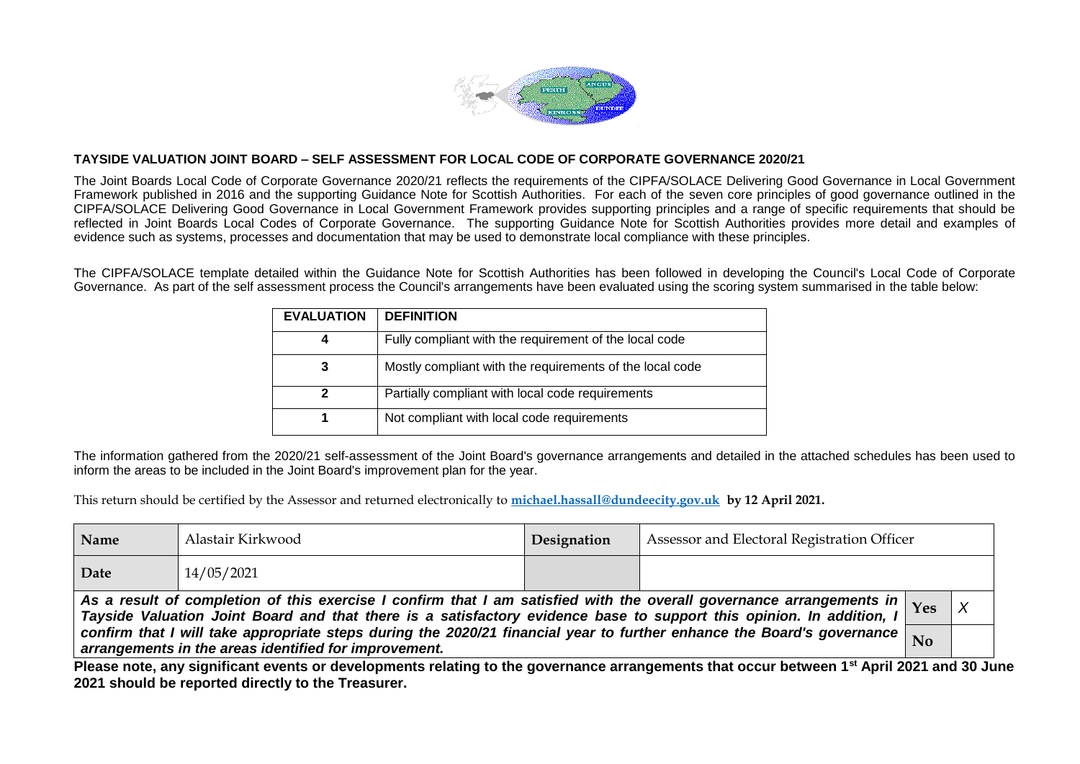

The Joint Boards Local Code of Corporate Governance 2020/21 reflects the requirements of the CIPFA/SOLACE Delivering Good Governance in Local Government Framework published in 2016 and the supporting Guidance Note for Scottish Authorities. For each of the seven core principles of good governance outlined in the CIPFA/SOLACE Delivering Good Governance in Local Government Framework provides supporting principles and a range of specific requirements that should be reflected in Joint Boards Local Codes of Corporate Governance. The supporting Guidance Note for Scottish Authorities provides more detail and examples of evidence such as systems, processes and documentation that may be used to demonstrate local compliance with these principles.

The CIPFA/SOLACE template detailed within the Guidance Note for Scottish Authorities has been followed in developing the Council's Local Code of Corporate Governance. As part of the self assessment process the Council's arrangements have been evaluated using the scoring system summarised in the table below:

| <b>EVALUATION</b> | <b>DEFINITION</b>                                        |
|-------------------|----------------------------------------------------------|
| 4                 | Fully compliant with the requirement of the local code   |
| 3                 | Mostly compliant with the requirements of the local code |
| 2                 | Partially compliant with local code requirements         |
|                   | Not compliant with local code requirements               |

The information gathered from the 2020/21 self-assessment of the Joint Board's governance arrangements and detailed in the attached schedules has been used to inform the areas to be included in the Joint Board's improvement plan for the year.

This return should be certified by the Assessor and returned electronically to **[michael.hassall@dundeecity.gov.uk](mailto:michael.hassall@dundeecity.gov.uk) by 12 April 2021.**

| Name | Alastair Kirkwood                                                                                                                                                                                                                                              | Designation | Assessor and Electoral Registration Officer |  |  |  |  |  |  |
|------|----------------------------------------------------------------------------------------------------------------------------------------------------------------------------------------------------------------------------------------------------------------|-------------|---------------------------------------------|--|--|--|--|--|--|
| Date | 14/05/2021                                                                                                                                                                                                                                                     |             |                                             |  |  |  |  |  |  |
|      | As a result of completion of this exercise I confirm that I am satisfied with the overall governance arrangements in $\gamma_{\rm es}$<br>Tayside Valuation Joint Board and that there is a satisfactory evidence base to support this opinion. In addition, I |             |                                             |  |  |  |  |  |  |
|      | confirm that I will take appropriate steps during the 2020/21 financial year to further enhance the Board's governance $\big _{\rm No}$<br>arrangements in the areas identified for improvement.                                                               |             |                                             |  |  |  |  |  |  |

**Please note, any significant events or developments relating to the governance arrangements that occur between 1st April 2021 and 30 June 2021 should be reported directly to the Treasurer.**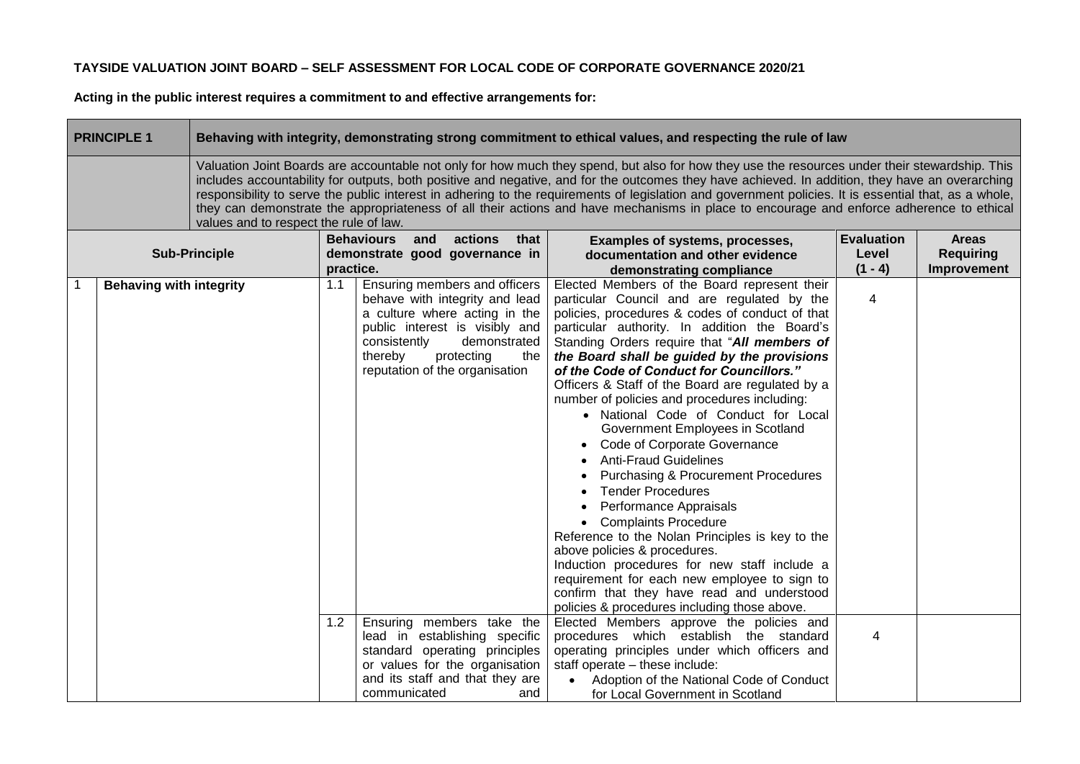**Acting in the public interest requires a commitment to and effective arrangements for:** 

man i

| <b>PRINCIPLE 1</b>             | Behaving with integrity, demonstrating strong commitment to ethical values, and respecting the rule of law                                                                                                                                                                                                                                                                                                                                                                                                                                                                                                                                       |            |                                                                                                                                                                                                                                                                                                                                                                       |                                                                                                                                                                                                                                                                                                                                                                                                                                                                                                                                                                                                                                                                                                                                                                                                                                                                                                                                                                                                                                                                                                                                                                                           |                                         |                                                 |  |  |
|--------------------------------|--------------------------------------------------------------------------------------------------------------------------------------------------------------------------------------------------------------------------------------------------------------------------------------------------------------------------------------------------------------------------------------------------------------------------------------------------------------------------------------------------------------------------------------------------------------------------------------------------------------------------------------------------|------------|-----------------------------------------------------------------------------------------------------------------------------------------------------------------------------------------------------------------------------------------------------------------------------------------------------------------------------------------------------------------------|-------------------------------------------------------------------------------------------------------------------------------------------------------------------------------------------------------------------------------------------------------------------------------------------------------------------------------------------------------------------------------------------------------------------------------------------------------------------------------------------------------------------------------------------------------------------------------------------------------------------------------------------------------------------------------------------------------------------------------------------------------------------------------------------------------------------------------------------------------------------------------------------------------------------------------------------------------------------------------------------------------------------------------------------------------------------------------------------------------------------------------------------------------------------------------------------|-----------------------------------------|-------------------------------------------------|--|--|
|                                | Valuation Joint Boards are accountable not only for how much they spend, but also for how they use the resources under their stewardship. This<br>includes accountability for outputs, both positive and negative, and for the outcomes they have achieved. In addition, they have an overarching<br>responsibility to serve the public interest in adhering to the requirements of legislation and government policies. It is essential that, as a whole,<br>they can demonstrate the appropriateness of all their actions and have mechanisms in place to encourage and enforce adherence to ethical<br>values and to respect the rule of law. |            |                                                                                                                                                                                                                                                                                                                                                                       |                                                                                                                                                                                                                                                                                                                                                                                                                                                                                                                                                                                                                                                                                                                                                                                                                                                                                                                                                                                                                                                                                                                                                                                           |                                         |                                                 |  |  |
|                                | <b>Sub-Principle</b>                                                                                                                                                                                                                                                                                                                                                                                                                                                                                                                                                                                                                             | practice.  | <b>Behaviours</b><br>actions<br>and<br>that<br>demonstrate good governance in                                                                                                                                                                                                                                                                                         | Examples of systems, processes,<br>documentation and other evidence<br>demonstrating compliance                                                                                                                                                                                                                                                                                                                                                                                                                                                                                                                                                                                                                                                                                                                                                                                                                                                                                                                                                                                                                                                                                           | <b>Evaluation</b><br>Level<br>$(1 - 4)$ | <b>Areas</b><br><b>Requiring</b><br>Improvement |  |  |
| <b>Behaving with integrity</b> |                                                                                                                                                                                                                                                                                                                                                                                                                                                                                                                                                                                                                                                  | 1.1<br>1.2 | Ensuring members and officers<br>behave with integrity and lead<br>a culture where acting in the<br>public interest is visibly and<br>consistently<br>demonstrated<br>thereby<br>protecting<br>the<br>reputation of the organisation<br>Ensuring members take the<br>lead in establishing specific<br>standard operating principles<br>or values for the organisation | Elected Members of the Board represent their<br>particular Council and are regulated by the<br>policies, procedures & codes of conduct of that<br>particular authority. In addition the Board's<br>Standing Orders require that "All members of<br>the Board shall be guided by the provisions<br>of the Code of Conduct for Councillors."<br>Officers & Staff of the Board are regulated by a<br>number of policies and procedures including:<br>• National Code of Conduct for Local<br>Government Employees in Scotland<br>• Code of Corporate Governance<br><b>Anti-Fraud Guidelines</b><br><b>Purchasing &amp; Procurement Procedures</b><br><b>Tender Procedures</b><br>Performance Appraisals<br>• Complaints Procedure<br>Reference to the Nolan Principles is key to the<br>above policies & procedures.<br>Induction procedures for new staff include a<br>requirement for each new employee to sign to<br>confirm that they have read and understood<br>policies & procedures including those above.<br>Elected Members approve the policies and<br>procedures which establish the standard<br>operating principles under which officers and<br>staff operate - these include: | $\overline{4}$<br>4                     |                                                 |  |  |
|                                |                                                                                                                                                                                                                                                                                                                                                                                                                                                                                                                                                                                                                                                  |            | and its staff and that they are<br>communicated<br>and                                                                                                                                                                                                                                                                                                                | Adoption of the National Code of Conduct<br>for Local Government in Scotland                                                                                                                                                                                                                                                                                                                                                                                                                                                                                                                                                                                                                                                                                                                                                                                                                                                                                                                                                                                                                                                                                                              |                                         |                                                 |  |  |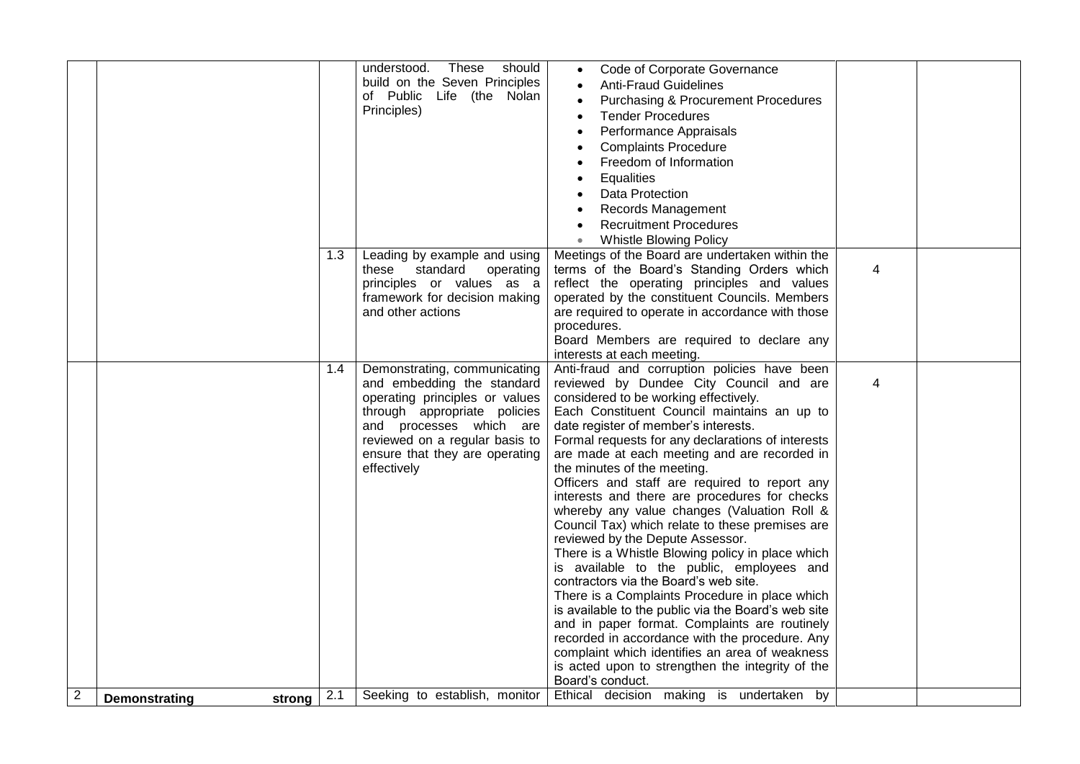|                |                                |     | understood. These<br>should<br>build on the Seven Principles<br>of Public Life (the Nolan<br>Principles)                                                                                                                                   | Code of Corporate Governance<br><b>Anti-Fraud Guidelines</b><br><b>Purchasing &amp; Procurement Procedures</b><br><b>Tender Procedures</b><br>Performance Appraisals<br><b>Complaints Procedure</b><br>Freedom of Information<br>Equalities<br>Data Protection<br><b>Records Management</b><br><b>Recruitment Procedures</b><br><b>Whistle Blowing Policy</b><br>$\bullet$                                                                                                                                                                                                                                                                                                                                                                                                                                                                                                                                                                                                                                                                                                          |   |  |
|----------------|--------------------------------|-----|--------------------------------------------------------------------------------------------------------------------------------------------------------------------------------------------------------------------------------------------|-------------------------------------------------------------------------------------------------------------------------------------------------------------------------------------------------------------------------------------------------------------------------------------------------------------------------------------------------------------------------------------------------------------------------------------------------------------------------------------------------------------------------------------------------------------------------------------------------------------------------------------------------------------------------------------------------------------------------------------------------------------------------------------------------------------------------------------------------------------------------------------------------------------------------------------------------------------------------------------------------------------------------------------------------------------------------------------|---|--|
|                |                                | 1.3 | Leading by example and using<br>standard<br>operating<br>these<br>principles or values as a<br>framework for decision making<br>and other actions                                                                                          | Meetings of the Board are undertaken within the<br>terms of the Board's Standing Orders which<br>reflect the operating principles and values<br>operated by the constituent Councils. Members<br>are required to operate in accordance with those<br>procedures.<br>Board Members are required to declare any<br>interests at each meeting.                                                                                                                                                                                                                                                                                                                                                                                                                                                                                                                                                                                                                                                                                                                                         | 4 |  |
|                |                                | 1.4 | Demonstrating, communicating<br>and embedding the standard<br>operating principles or values<br>through appropriate policies<br>and processes which are<br>reviewed on a regular basis to<br>ensure that they are operating<br>effectively | Anti-fraud and corruption policies have been<br>reviewed by Dundee City Council and are<br>considered to be working effectively.<br>Each Constituent Council maintains an up to<br>date register of member's interests.<br>Formal requests for any declarations of interests<br>are made at each meeting and are recorded in<br>the minutes of the meeting.<br>Officers and staff are required to report any<br>interests and there are procedures for checks<br>whereby any value changes (Valuation Roll &<br>Council Tax) which relate to these premises are<br>reviewed by the Depute Assessor.<br>There is a Whistle Blowing policy in place which<br>is available to the public, employees and<br>contractors via the Board's web site.<br>There is a Complaints Procedure in place which<br>is available to the public via the Board's web site<br>and in paper format. Complaints are routinely<br>recorded in accordance with the procedure. Any<br>complaint which identifies an area of weakness<br>is acted upon to strengthen the integrity of the<br>Board's conduct. | 4 |  |
| $\overline{c}$ | <b>Demonstrating</b><br>strong | 2.1 | Seeking to establish, monitor                                                                                                                                                                                                              | Ethical decision making is undertaken by                                                                                                                                                                                                                                                                                                                                                                                                                                                                                                                                                                                                                                                                                                                                                                                                                                                                                                                                                                                                                                            |   |  |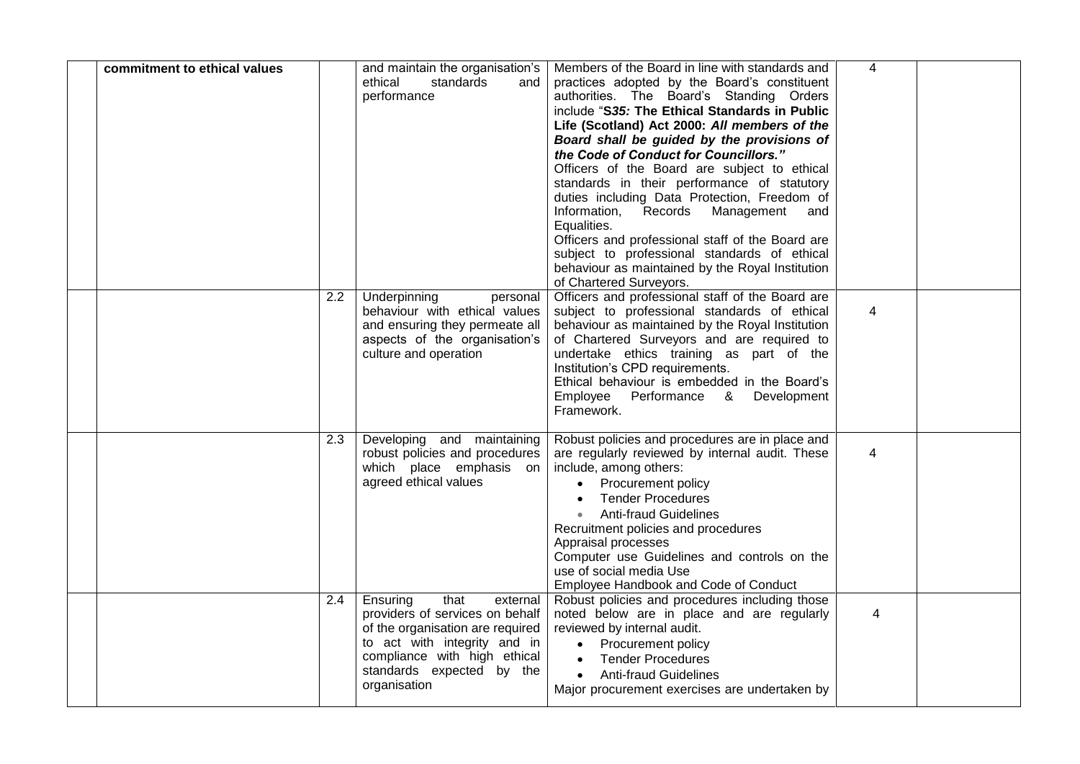| commitment to ethical values |     | and maintain the organisation's<br>ethical<br>standards<br>and<br>performance                                                                                                                                    | Members of the Board in line with standards and<br>practices adopted by the Board's constituent<br>authorities. The Board's Standing Orders<br>include "S35: The Ethical Standards in Public<br>Life (Scotland) Act 2000: All members of the<br>Board shall be guided by the provisions of<br>the Code of Conduct for Councillors."<br>Officers of the Board are subject to ethical<br>standards in their performance of statutory<br>duties including Data Protection, Freedom of<br>Records<br>Information,<br>Management<br>and<br>Equalities.<br>Officers and professional staff of the Board are<br>subject to professional standards of ethical<br>behaviour as maintained by the Royal Institution<br>of Chartered Surveyors. | $\overline{4}$ |  |
|------------------------------|-----|------------------------------------------------------------------------------------------------------------------------------------------------------------------------------------------------------------------|--------------------------------------------------------------------------------------------------------------------------------------------------------------------------------------------------------------------------------------------------------------------------------------------------------------------------------------------------------------------------------------------------------------------------------------------------------------------------------------------------------------------------------------------------------------------------------------------------------------------------------------------------------------------------------------------------------------------------------------|----------------|--|
|                              | 2.2 | Underpinning<br>personal<br>behaviour with ethical values<br>and ensuring they permeate all<br>aspects of the organisation's<br>culture and operation                                                            | Officers and professional staff of the Board are<br>subject to professional standards of ethical<br>behaviour as maintained by the Royal Institution<br>of Chartered Surveyors and are required to<br>undertake ethics training as part of the<br>Institution's CPD requirements.<br>Ethical behaviour is embedded in the Board's<br>Employee<br>Performance & Development<br>Framework.                                                                                                                                                                                                                                                                                                                                             | 4              |  |
|                              | 2.3 | Developing and maintaining<br>robust policies and procedures<br>which place emphasis on<br>agreed ethical values                                                                                                 | Robust policies and procedures are in place and<br>are regularly reviewed by internal audit. These<br>include, among others:<br>• Procurement policy<br><b>Tender Procedures</b><br>• Anti-fraud Guidelines<br>Recruitment policies and procedures<br>Appraisal processes<br>Computer use Guidelines and controls on the<br>use of social media Use<br>Employee Handbook and Code of Conduct                                                                                                                                                                                                                                                                                                                                         | 4              |  |
|                              | 2.4 | Ensuring<br>that<br>external<br>providers of services on behalf<br>of the organisation are required<br>to act with integrity and in<br>compliance with high ethical<br>standards expected by the<br>organisation | Robust policies and procedures including those<br>noted below are in place and are regularly<br>reviewed by internal audit.<br>• Procurement policy<br><b>Tender Procedures</b><br>$\bullet$<br><b>Anti-fraud Guidelines</b><br>Major procurement exercises are undertaken by                                                                                                                                                                                                                                                                                                                                                                                                                                                        | 4              |  |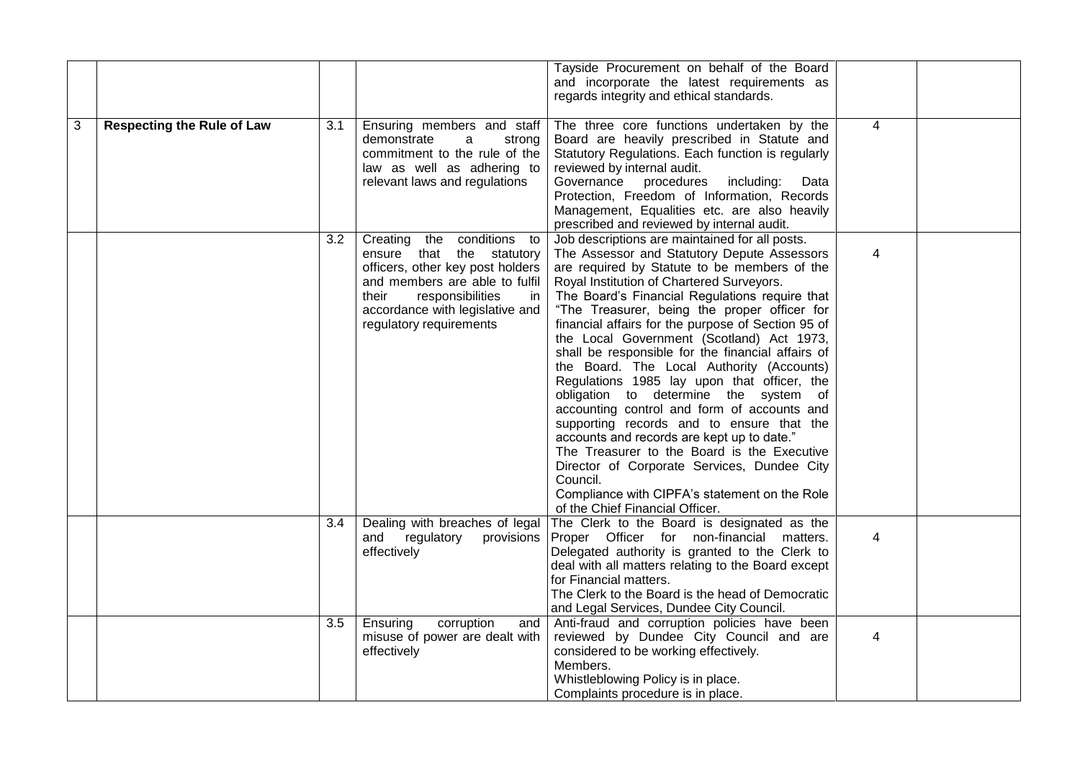|   |                                   |                  |                                  | Tayside Procurement on behalf of the Board         |                |  |
|---|-----------------------------------|------------------|----------------------------------|----------------------------------------------------|----------------|--|
|   |                                   |                  |                                  | and incorporate the latest requirements as         |                |  |
|   |                                   |                  |                                  | regards integrity and ethical standards.           |                |  |
|   |                                   |                  |                                  |                                                    |                |  |
| 3 | <b>Respecting the Rule of Law</b> | 3.1              | Ensuring members and staff       | The three core functions undertaken by the         | $\overline{4}$ |  |
|   |                                   |                  | demonstrate<br>a<br>strong       | Board are heavily prescribed in Statute and        |                |  |
|   |                                   |                  | commitment to the rule of the    | Statutory Regulations. Each function is regularly  |                |  |
|   |                                   |                  | law as well as adhering to       | reviewed by internal audit.                        |                |  |
|   |                                   |                  | relevant laws and regulations    | Governance procedures<br>including:<br>Data        |                |  |
|   |                                   |                  |                                  | Protection, Freedom of Information, Records        |                |  |
|   |                                   |                  |                                  | Management, Equalities etc. are also heavily       |                |  |
|   |                                   |                  |                                  | prescribed and reviewed by internal audit.         |                |  |
|   |                                   | $\overline{3.2}$ | Creating the conditions to       | Job descriptions are maintained for all posts.     |                |  |
|   |                                   |                  | ensure that the statutory        | The Assessor and Statutory Depute Assessors        | 4              |  |
|   |                                   |                  | officers, other key post holders | are required by Statute to be members of the       |                |  |
|   |                                   |                  | and members are able to fulfil   | Royal Institution of Chartered Surveyors.          |                |  |
|   |                                   |                  | responsibilities<br>their<br>in  | The Board's Financial Regulations require that     |                |  |
|   |                                   |                  | accordance with legislative and  | "The Treasurer, being the proper officer for       |                |  |
|   |                                   |                  | regulatory requirements          | financial affairs for the purpose of Section 95 of |                |  |
|   |                                   |                  |                                  | the Local Government (Scotland) Act 1973,          |                |  |
|   |                                   |                  |                                  | shall be responsible for the financial affairs of  |                |  |
|   |                                   |                  |                                  | the Board. The Local Authority (Accounts)          |                |  |
|   |                                   |                  |                                  | Regulations 1985 lay upon that officer, the        |                |  |
|   |                                   |                  |                                  | obligation to determine the system of              |                |  |
|   |                                   |                  |                                  | accounting control and form of accounts and        |                |  |
|   |                                   |                  |                                  | supporting records and to ensure that the          |                |  |
|   |                                   |                  |                                  | accounts and records are kept up to date."         |                |  |
|   |                                   |                  |                                  | The Treasurer to the Board is the Executive        |                |  |
|   |                                   |                  |                                  | Director of Corporate Services, Dundee City        |                |  |
|   |                                   |                  |                                  | Council.                                           |                |  |
|   |                                   |                  |                                  | Compliance with CIPFA's statement on the Role      |                |  |
|   |                                   |                  |                                  | of the Chief Financial Officer.                    |                |  |
|   |                                   | 3.4              | Dealing with breaches of legal   | The Clerk to the Board is designated as the        |                |  |
|   |                                   |                  | and regulatory<br>provisions     | Proper Officer for non-financial matters.          | 4              |  |
|   |                                   |                  | effectively                      | Delegated authority is granted to the Clerk to     |                |  |
|   |                                   |                  |                                  | deal with all matters relating to the Board except |                |  |
|   |                                   |                  |                                  | for Financial matters.                             |                |  |
|   |                                   |                  |                                  | The Clerk to the Board is the head of Democratic   |                |  |
|   |                                   |                  |                                  | and Legal Services, Dundee City Council.           |                |  |
|   |                                   | 3.5              | corruption<br>Ensuring<br>and    | Anti-fraud and corruption policies have been       |                |  |
|   |                                   |                  | misuse of power are dealt with   | reviewed by Dundee City Council and are            | 4              |  |
|   |                                   |                  | effectively                      | considered to be working effectively.              |                |  |
|   |                                   |                  |                                  | Members.                                           |                |  |
|   |                                   |                  |                                  | Whistleblowing Policy is in place.                 |                |  |
|   |                                   |                  |                                  | Complaints procedure is in place.                  |                |  |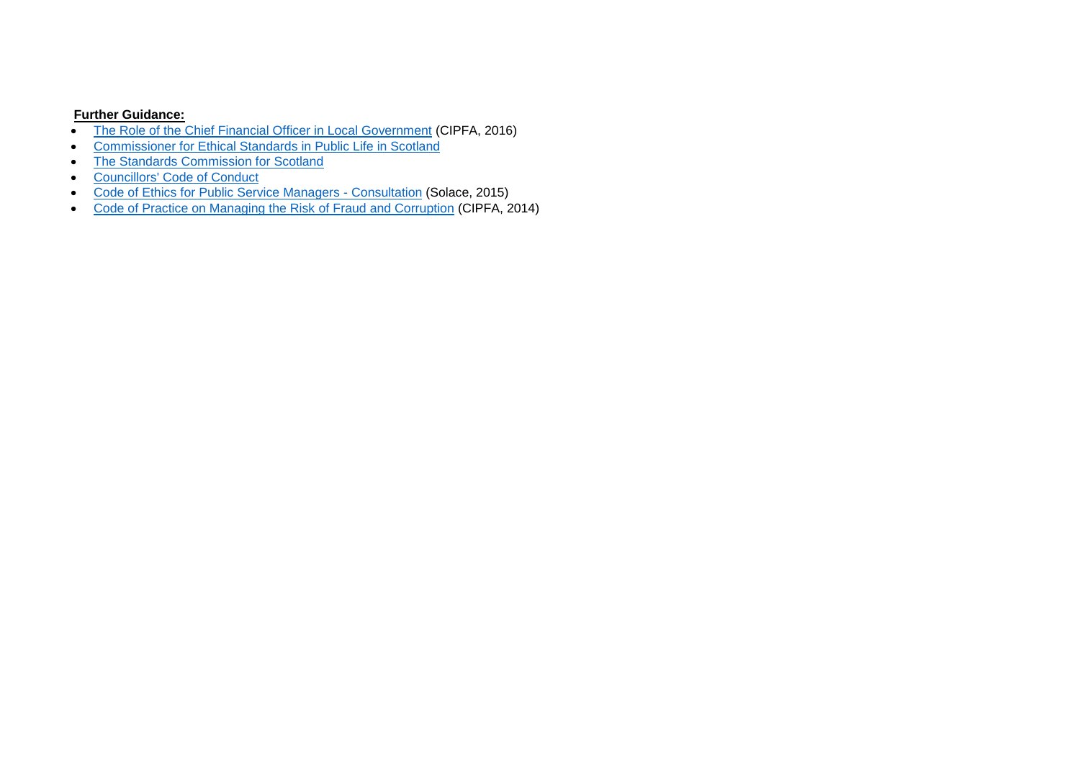- [The Role of the Chief Financial Officer in Local Government](http://www.cipfa.org/policy-and-guidance/reports/the-role-of-the-chief-financial-officer-in-local-government) (CIPFA, 2016)
- [Commissioner for Ethical Standards in Public Life in Scotland](http://www.publicstandardscommissioner.org.uk/about-us/overview/)
- [The Standards Commission for Scotland](http://www.standardscommissionscotland.org.uk/about-us/who-we-are)
- [Councillors' Code of Conduct](http://www.standardscommissionscotland.org.uk/codes-of-conduct/councillors-code-of-conduct)
- [Code of Ethics for Public Service Managers -](http://www.solace.org.uk/knowledge/cc_knowledge_calls_for_evidence/Call%20for%20evidence_Code%20of%20Ethics.pdf) Consultation (Solace, 2015)
- [Code of Practice on Managing the Risk of Fraud and Corruption](http://www.cipfa.org/services/networks/better-governance-forum/counter-fraud-documentation/code-of-practice-on-managing-the-risk-of-fraud-and-corruption) (CIPFA, 2014)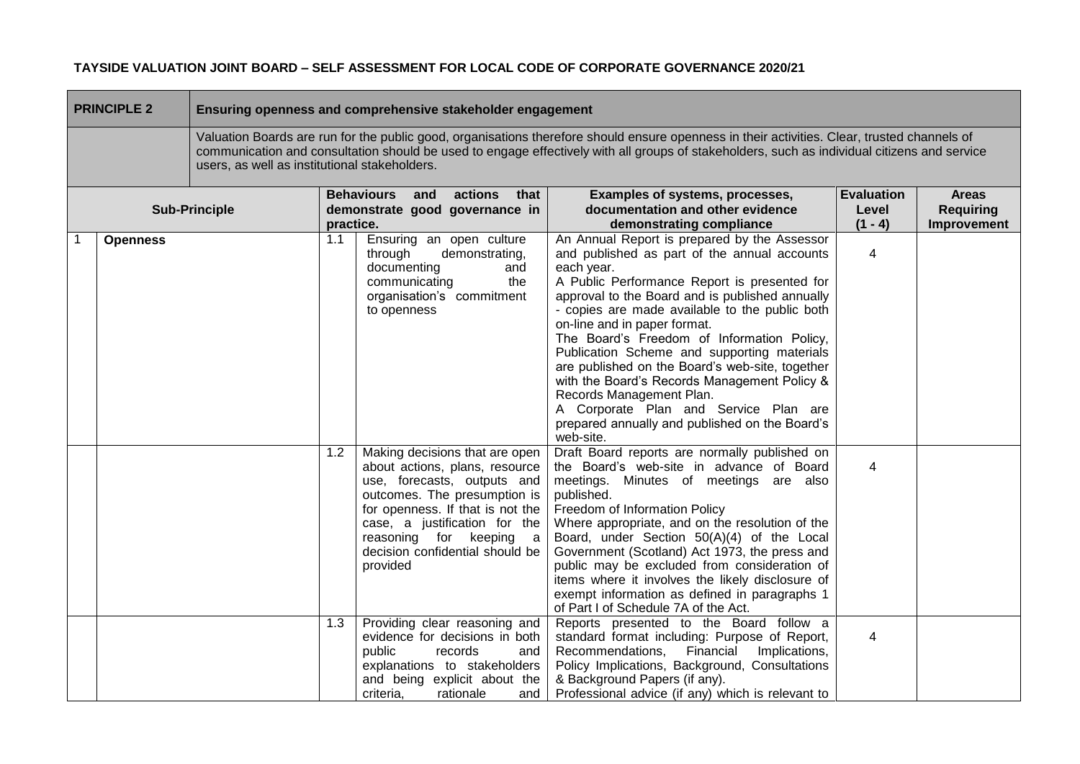| <b>PRINCIPLE 2</b><br>Ensuring openness and comprehensive stakeholder engagement |                 |                                               |           |                                                                                                                                                                                                                                                                                |                                                                                                                                                                                                                                                                                                                                                                                                                                                                                                                                                                                                                                     |                                         |                                                 |
|----------------------------------------------------------------------------------|-----------------|-----------------------------------------------|-----------|--------------------------------------------------------------------------------------------------------------------------------------------------------------------------------------------------------------------------------------------------------------------------------|-------------------------------------------------------------------------------------------------------------------------------------------------------------------------------------------------------------------------------------------------------------------------------------------------------------------------------------------------------------------------------------------------------------------------------------------------------------------------------------------------------------------------------------------------------------------------------------------------------------------------------------|-----------------------------------------|-------------------------------------------------|
|                                                                                  |                 | users, as well as institutional stakeholders. |           |                                                                                                                                                                                                                                                                                | Valuation Boards are run for the public good, organisations therefore should ensure openness in their activities. Clear, trusted channels of<br>communication and consultation should be used to engage effectively with all groups of stakeholders, such as individual citizens and service                                                                                                                                                                                                                                                                                                                                        |                                         |                                                 |
|                                                                                  |                 | <b>Sub-Principle</b>                          | practice. | <b>Behaviours</b><br>actions<br>and<br>that<br>demonstrate good governance in                                                                                                                                                                                                  | Examples of systems, processes,<br>documentation and other evidence<br>demonstrating compliance                                                                                                                                                                                                                                                                                                                                                                                                                                                                                                                                     | <b>Evaluation</b><br>Level<br>$(1 - 4)$ | <b>Areas</b><br><b>Requiring</b><br>Improvement |
|                                                                                  | <b>Openness</b> |                                               | 1.1       | Ensuring an open culture<br>through<br>demonstrating,<br>documenting<br>and<br>communicating<br>the<br>organisation's commitment<br>to openness                                                                                                                                | An Annual Report is prepared by the Assessor<br>and published as part of the annual accounts<br>each year.<br>A Public Performance Report is presented for<br>approval to the Board and is published annually<br>- copies are made available to the public both<br>on-line and in paper format.<br>The Board's Freedom of Information Policy,<br>Publication Scheme and supporting materials<br>are published on the Board's web-site, together<br>with the Board's Records Management Policy &<br>Records Management Plan.<br>A Corporate Plan and Service Plan are<br>prepared annually and published on the Board's<br>web-site. | $\overline{4}$                          |                                                 |
|                                                                                  |                 |                                               | 1.2       | Making decisions that are open<br>about actions, plans, resource<br>use, forecasts, outputs and<br>outcomes. The presumption is<br>for openness. If that is not the<br>case, a justification for the<br>reasoning for keeping a<br>decision confidential should be<br>provided | Draft Board reports are normally published on<br>the Board's web-site in advance of Board<br>meetings. Minutes of meetings are also<br>published.<br>Freedom of Information Policy<br>Where appropriate, and on the resolution of the<br>Board, under Section 50(A)(4) of the Local<br>Government (Scotland) Act 1973, the press and<br>public may be excluded from consideration of<br>items where it involves the likely disclosure of<br>exempt information as defined in paragraphs 1<br>of Part I of Schedule 7A of the Act.                                                                                                   | 4                                       |                                                 |
|                                                                                  |                 |                                               | 1.3       | Providing clear reasoning and<br>evidence for decisions in both<br>public<br>records<br>and<br>explanations to stakeholders<br>and being explicit about the<br>criteria,<br>rationale<br>and                                                                                   | Reports presented to the Board follow a<br>standard format including: Purpose of Report,<br>Financial<br>Recommendations,<br>Implications,<br>Policy Implications, Background, Consultations<br>& Background Papers (if any).<br>Professional advice (if any) which is relevant to                                                                                                                                                                                                                                                                                                                                                  | $\overline{4}$                          |                                                 |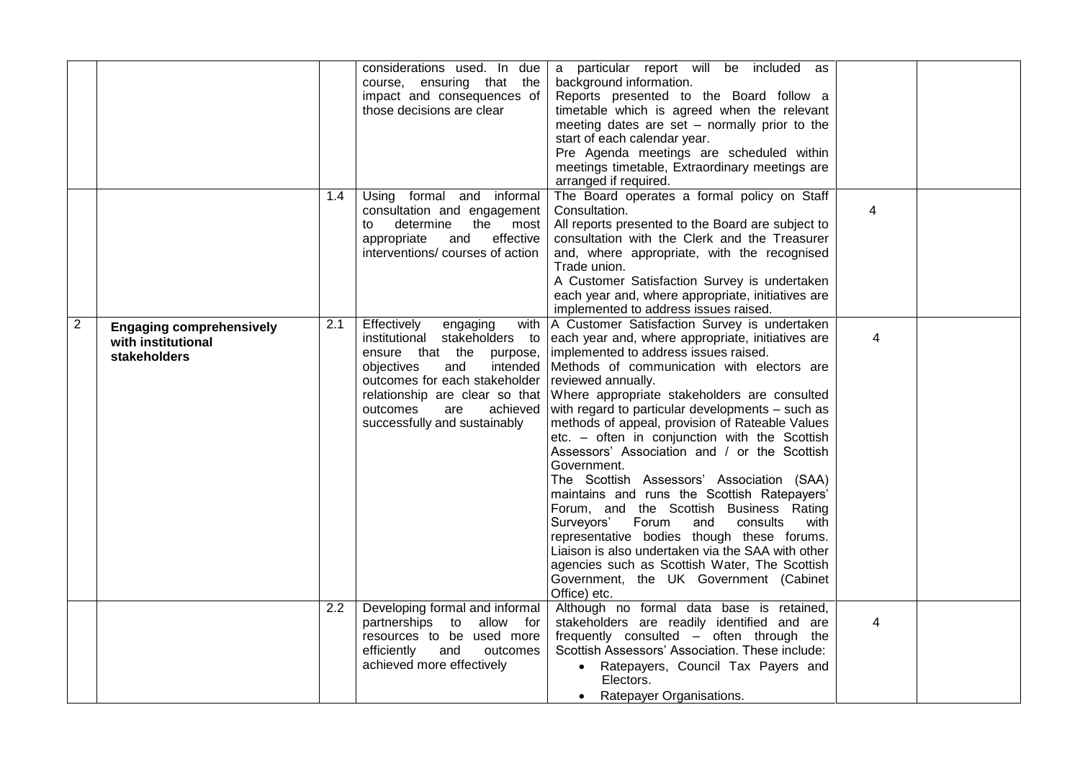|                |                                                                       |     | considerations used. In due<br>course, ensuring that the<br>impact and consequences of<br>those decisions are clear                                                                                                                                        | a particular report will be included as<br>background information.<br>Reports presented to the Board follow a<br>timetable which is agreed when the relevant<br>meeting dates are set - normally prior to the<br>start of each calendar year.<br>Pre Agenda meetings are scheduled within<br>meetings timetable, Extraordinary meetings are<br>arranged if required.                                                                                                                                                                                                                                                                                                                                                                                                                                                                                                                             |                |  |
|----------------|-----------------------------------------------------------------------|-----|------------------------------------------------------------------------------------------------------------------------------------------------------------------------------------------------------------------------------------------------------------|--------------------------------------------------------------------------------------------------------------------------------------------------------------------------------------------------------------------------------------------------------------------------------------------------------------------------------------------------------------------------------------------------------------------------------------------------------------------------------------------------------------------------------------------------------------------------------------------------------------------------------------------------------------------------------------------------------------------------------------------------------------------------------------------------------------------------------------------------------------------------------------------------|----------------|--|
|                |                                                                       | 1.4 | Using formal and informal<br>consultation and engagement<br>determine<br>the most<br>to<br>appropriate<br>and<br>effective<br>interventions/courses of action                                                                                              | The Board operates a formal policy on Staff<br>Consultation.<br>All reports presented to the Board are subject to<br>consultation with the Clerk and the Treasurer<br>and, where appropriate, with the recognised<br>Trade union.<br>A Customer Satisfaction Survey is undertaken<br>each year and, where appropriate, initiatives are<br>implemented to address issues raised.                                                                                                                                                                                                                                                                                                                                                                                                                                                                                                                  | 4              |  |
| $\overline{2}$ | <b>Engaging comprehensively</b><br>with institutional<br>stakeholders | 2.1 | Effectively<br>engaging<br>institutional stakeholders to<br>ensure that the<br>purpose,<br>and<br>intended<br>objectives<br>outcomes for each stakeholder<br>relationship are clear so that<br>outcomes<br>achieved<br>are<br>successfully and sustainably | with   A Customer Satisfaction Survey is undertaken<br>each year and, where appropriate, initiatives are<br>implemented to address issues raised.<br>Methods of communication with electors are<br>reviewed annually.<br>Where appropriate stakeholders are consulted<br>with regard to particular developments - such as<br>methods of appeal, provision of Rateable Values<br>etc. - often in conjunction with the Scottish<br>Assessors' Association and / or the Scottish<br>Government.<br>The Scottish Assessors' Association (SAA)<br>maintains and runs the Scottish Ratepayers'<br>Forum, and the Scottish Business Rating<br>Surveyors' Forum<br>and<br>consults<br>with<br>representative bodies though these forums.<br>Liaison is also undertaken via the SAA with other<br>agencies such as Scottish Water, The Scottish<br>Government, the UK Government (Cabinet<br>Office) etc. | $\overline{4}$ |  |
|                |                                                                       | 2.2 | Developing formal and informal<br>partnerships to allow for<br>resources to be used more<br>efficiently<br>and<br>outcomes<br>achieved more effectively                                                                                                    | Although no formal data base is retained,<br>stakeholders are readily identified and are<br>frequently consulted - often through the<br>Scottish Assessors' Association. These include:<br>• Ratepayers, Council Tax Payers and<br>Electors.<br>• Ratepayer Organisations.                                                                                                                                                                                                                                                                                                                                                                                                                                                                                                                                                                                                                       | 4              |  |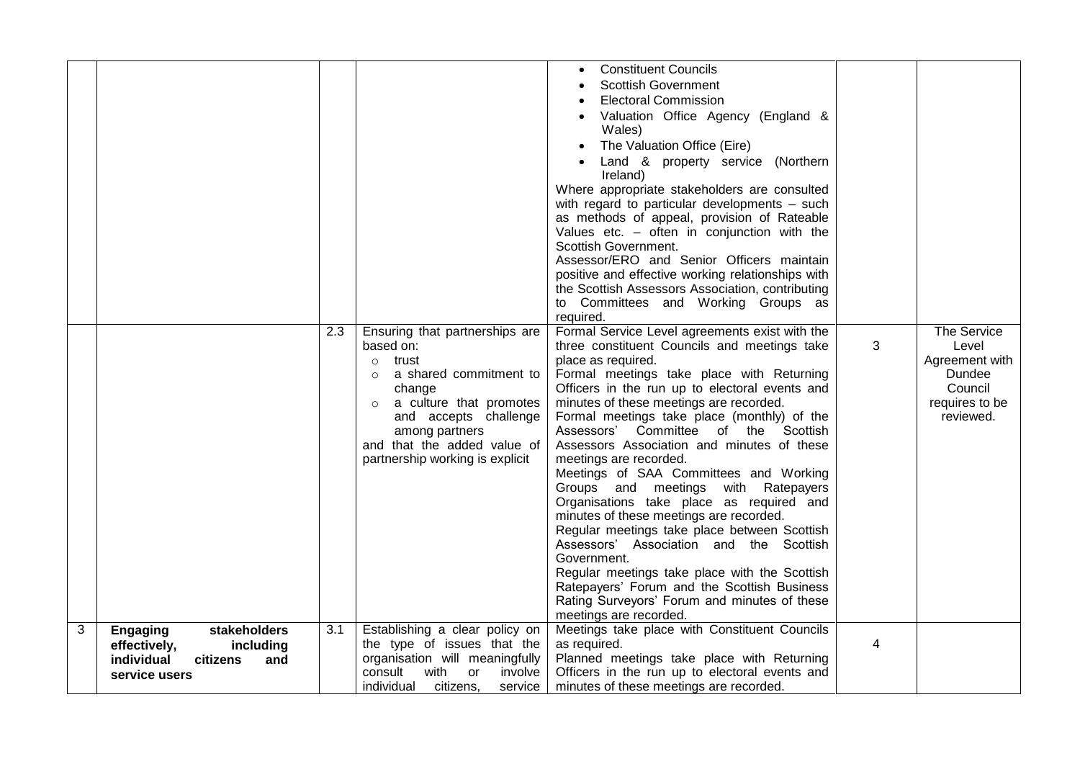|   |                                                                                                                | 2.3 | Ensuring that partnerships are<br>based on:<br>trust<br>$\circ$<br>a shared commitment to<br>$\circ$<br>change<br>a culture that promotes<br>$\circ$<br>and accepts challenge<br>among partners<br>and that the added value of<br>partnership working is explicit | <b>Constituent Councils</b><br>Scottish Government<br><b>Electoral Commission</b><br>Valuation Office Agency (England &<br>Wales)<br>The Valuation Office (Eire)<br>Land & property service (Northern<br>Ireland)<br>Where appropriate stakeholders are consulted<br>with regard to particular developments - such<br>as methods of appeal, provision of Rateable<br>Values etc. $-$ often in conjunction with the<br>Scottish Government.<br>Assessor/ERO and Senior Officers maintain<br>positive and effective working relationships with<br>the Scottish Assessors Association, contributing<br>to Committees and Working Groups as<br>required.<br>Formal Service Level agreements exist with the<br>three constituent Councils and meetings take<br>place as required.<br>Formal meetings take place with Returning<br>Officers in the run up to electoral events and<br>minutes of these meetings are recorded.<br>Formal meetings take place (monthly) of the<br>Assessors' Committee of the Scottish<br>Assessors Association and minutes of these<br>meetings are recorded.<br>Meetings of SAA Committees and Working<br>Groups and meetings with Ratepayers<br>Organisations take place as required and<br>minutes of these meetings are recorded.<br>Regular meetings take place between Scottish<br>Assessors' Association and the Scottish<br>Government.<br>Regular meetings take place with the Scottish<br>Ratepayers' Forum and the Scottish Business<br>Rating Surveyors' Forum and minutes of these | 3 | The Service<br>Level<br>Agreement with<br>Dundee<br>Council<br>requires to be<br>reviewed. |
|---|----------------------------------------------------------------------------------------------------------------|-----|-------------------------------------------------------------------------------------------------------------------------------------------------------------------------------------------------------------------------------------------------------------------|-------------------------------------------------------------------------------------------------------------------------------------------------------------------------------------------------------------------------------------------------------------------------------------------------------------------------------------------------------------------------------------------------------------------------------------------------------------------------------------------------------------------------------------------------------------------------------------------------------------------------------------------------------------------------------------------------------------------------------------------------------------------------------------------------------------------------------------------------------------------------------------------------------------------------------------------------------------------------------------------------------------------------------------------------------------------------------------------------------------------------------------------------------------------------------------------------------------------------------------------------------------------------------------------------------------------------------------------------------------------------------------------------------------------------------------------------------------------------------------------------------------------------|---|--------------------------------------------------------------------------------------------|
| 3 | stakeholders<br><b>Engaging</b><br>effectively,<br>including<br>individual<br>and<br>citizens<br>service users | 3.1 | Establishing a clear policy on<br>the type of issues that the<br>organisation will meaningfully<br>consult with<br>or<br>involve                                                                                                                                  | meetings are recorded.<br>Meetings take place with Constituent Councils<br>as required.<br>Planned meetings take place with Returning<br>Officers in the run up to electoral events and                                                                                                                                                                                                                                                                                                                                                                                                                                                                                                                                                                                                                                                                                                                                                                                                                                                                                                                                                                                                                                                                                                                                                                                                                                                                                                                                 | 4 |                                                                                            |
|   |                                                                                                                |     | individual<br>citizens,<br>service                                                                                                                                                                                                                                | minutes of these meetings are recorded.                                                                                                                                                                                                                                                                                                                                                                                                                                                                                                                                                                                                                                                                                                                                                                                                                                                                                                                                                                                                                                                                                                                                                                                                                                                                                                                                                                                                                                                                                 |   |                                                                                            |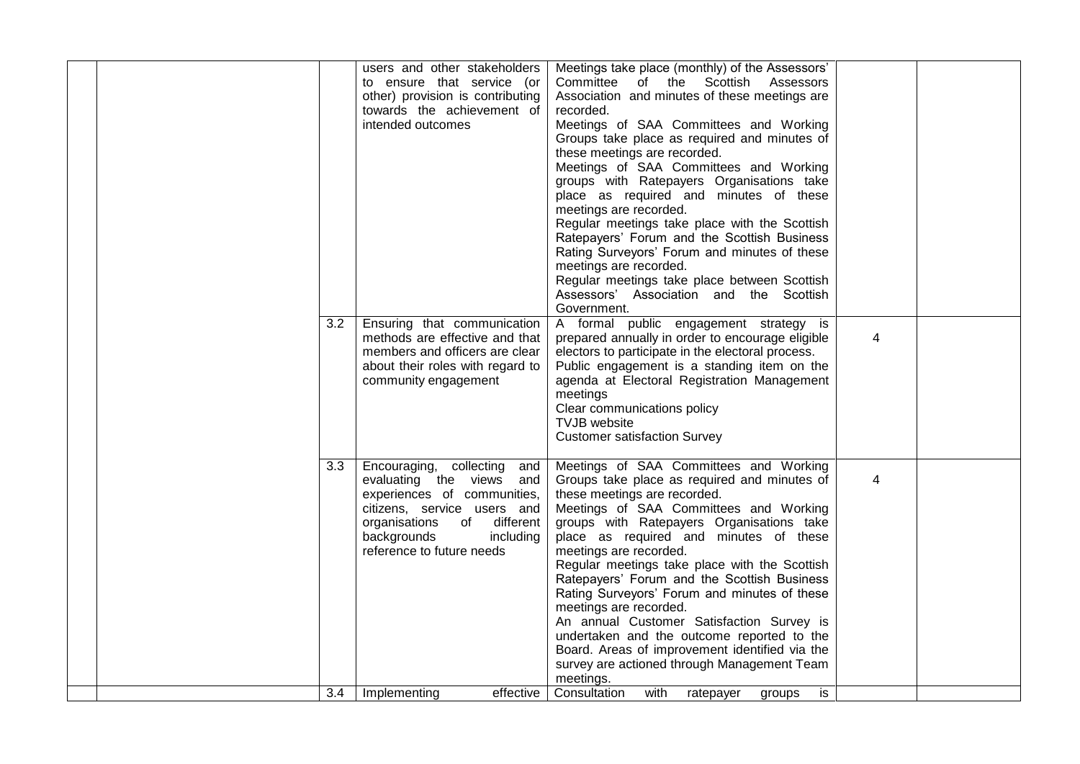|  | $\overline{3.2}$ | users and other stakeholders<br>to ensure that service (or<br>other) provision is contributing<br>towards the achievement of<br>intended outcomes<br>Ensuring that communication<br>methods are effective and that<br>members and officers are clear<br>about their roles with regard to<br>community engagement | Meetings take place (monthly) of the Assessors'<br>Committee of the Scottish Assessors<br>Association and minutes of these meetings are<br>recorded.<br>Meetings of SAA Committees and Working<br>Groups take place as required and minutes of<br>these meetings are recorded.<br>Meetings of SAA Committees and Working<br>groups with Ratepayers Organisations take<br>place as required and minutes of these<br>meetings are recorded.<br>Regular meetings take place with the Scottish<br>Ratepayers' Forum and the Scottish Business<br>Rating Surveyors' Forum and minutes of these<br>meetings are recorded.<br>Regular meetings take place between Scottish<br>Assessors' Association and the Scottish<br>Government.<br>A formal public engagement strategy is<br>prepared annually in order to encourage eligible<br>electors to participate in the electoral process.<br>Public engagement is a standing item on the<br>agenda at Electoral Registration Management<br>meetings<br>Clear communications policy<br><b>TVJB</b> website | $\overline{4}$ |  |
|--|------------------|------------------------------------------------------------------------------------------------------------------------------------------------------------------------------------------------------------------------------------------------------------------------------------------------------------------|--------------------------------------------------------------------------------------------------------------------------------------------------------------------------------------------------------------------------------------------------------------------------------------------------------------------------------------------------------------------------------------------------------------------------------------------------------------------------------------------------------------------------------------------------------------------------------------------------------------------------------------------------------------------------------------------------------------------------------------------------------------------------------------------------------------------------------------------------------------------------------------------------------------------------------------------------------------------------------------------------------------------------------------------------|----------------|--|
|  | 3.3<br>3.4       | Encouraging, collecting and<br>evaluating the views and<br>experiences of communities,<br>citizens, service users and<br>organisations of different<br>backgrounds<br>including<br>reference to future needs<br>effective<br>Implementing                                                                        | <b>Customer satisfaction Survey</b><br>Meetings of SAA Committees and Working<br>Groups take place as required and minutes of<br>these meetings are recorded.<br>Meetings of SAA Committees and Working<br>groups with Ratepayers Organisations take<br>place as required and minutes of these<br>meetings are recorded.<br>Regular meetings take place with the Scottish<br>Ratepayers' Forum and the Scottish Business<br>Rating Surveyors' Forum and minutes of these<br>meetings are recorded.<br>An annual Customer Satisfaction Survey is<br>undertaken and the outcome reported to the<br>Board. Areas of improvement identified via the<br>survey are actioned through Management Team<br>meetings.<br>Consultation with ratepayer<br>is                                                                                                                                                                                                                                                                                                 | $\overline{4}$ |  |
|  |                  |                                                                                                                                                                                                                                                                                                                  | groups                                                                                                                                                                                                                                                                                                                                                                                                                                                                                                                                                                                                                                                                                                                                                                                                                                                                                                                                                                                                                                           |                |  |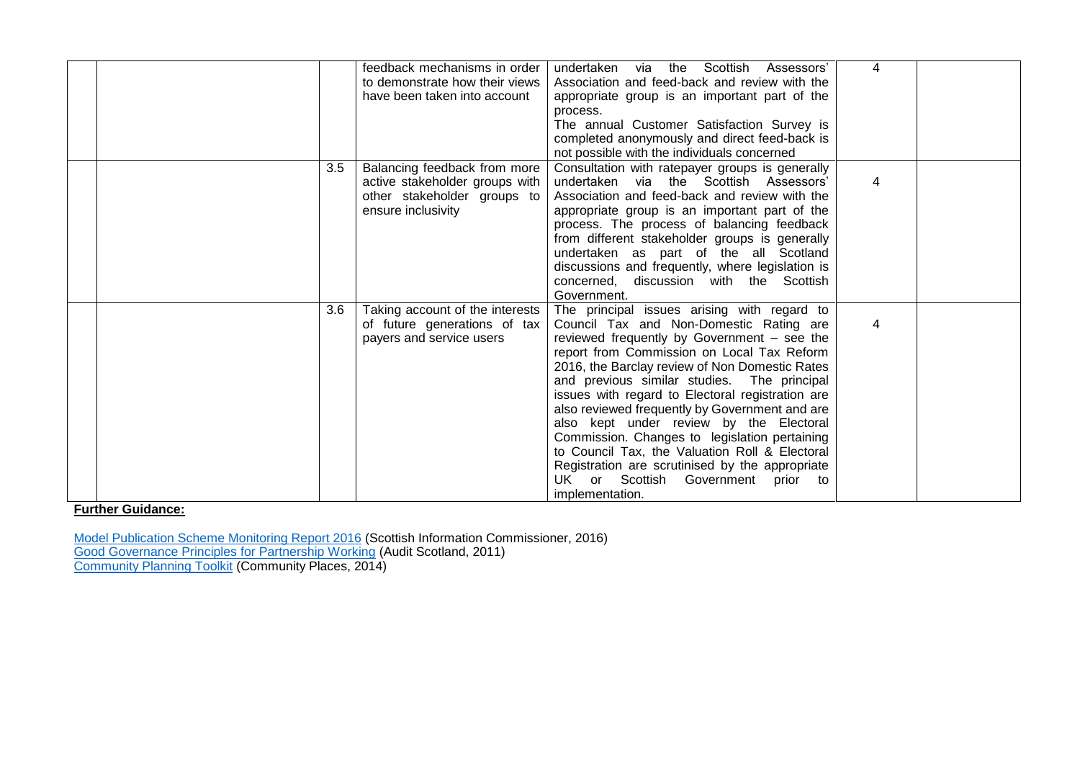|     | feedback mechanisms in order<br>to demonstrate how their views<br>have been taken into account                      | undertaken via the Scottish Assessors'<br>Association and feed-back and review with the<br>appropriate group is an important part of the<br>process.<br>The annual Customer Satisfaction Survey is<br>completed anonymously and direct feed-back is<br>not possible with the individuals concerned                                                                                                                                                                                                                                                                                                                                                      | 4 |  |
|-----|---------------------------------------------------------------------------------------------------------------------|---------------------------------------------------------------------------------------------------------------------------------------------------------------------------------------------------------------------------------------------------------------------------------------------------------------------------------------------------------------------------------------------------------------------------------------------------------------------------------------------------------------------------------------------------------------------------------------------------------------------------------------------------------|---|--|
| 3.5 | Balancing feedback from more<br>active stakeholder groups with<br>other stakeholder groups to<br>ensure inclusivity | Consultation with ratepayer groups is generally<br>undertaken via the Scottish Assessors'<br>Association and feed-back and review with the<br>appropriate group is an important part of the<br>process. The process of balancing feedback<br>from different stakeholder groups is generally<br>undertaken as part of the all Scotland<br>discussions and frequently, where legislation is<br>concerned, discussion with the Scottish<br>Government.                                                                                                                                                                                                     | 4 |  |
| 3.6 | Taking account of the interests<br>of future generations of tax<br>payers and service users                         | The principal issues arising with regard to<br>Council Tax and Non-Domestic Rating are<br>reviewed frequently by Government - see the<br>report from Commission on Local Tax Reform<br>2016, the Barclay review of Non Domestic Rates<br>and previous similar studies. The principal<br>issues with regard to Electoral registration are<br>also reviewed frequently by Government and are<br>also kept under review by the Electoral<br>Commission. Changes to legislation pertaining<br>to Council Tax, the Valuation Roll & Electoral<br>Registration are scrutinised by the appropriate<br>UK or Scottish Government<br>prior to<br>implementation. | 4 |  |

[Model Publication Scheme Monitoring Report 2016](http://www.itspublicknowledge.info/home/SICReports/OtherReports/MPSMonitoring2016.aspx) (Scottish Information Commissioner, 2016) [Good Governance Principles for Partnership Working](http://www.communityplanningtoolkit.org/sites/default/files/WorkingTogetherR9.pdf) (Audit Scotland, 2011) **[Community Planning Toolkit](http://www.communityplanningtoolkit.org/sites/default/files/CommunityPlanningUpdate.pdf) (Community Places, 2014)**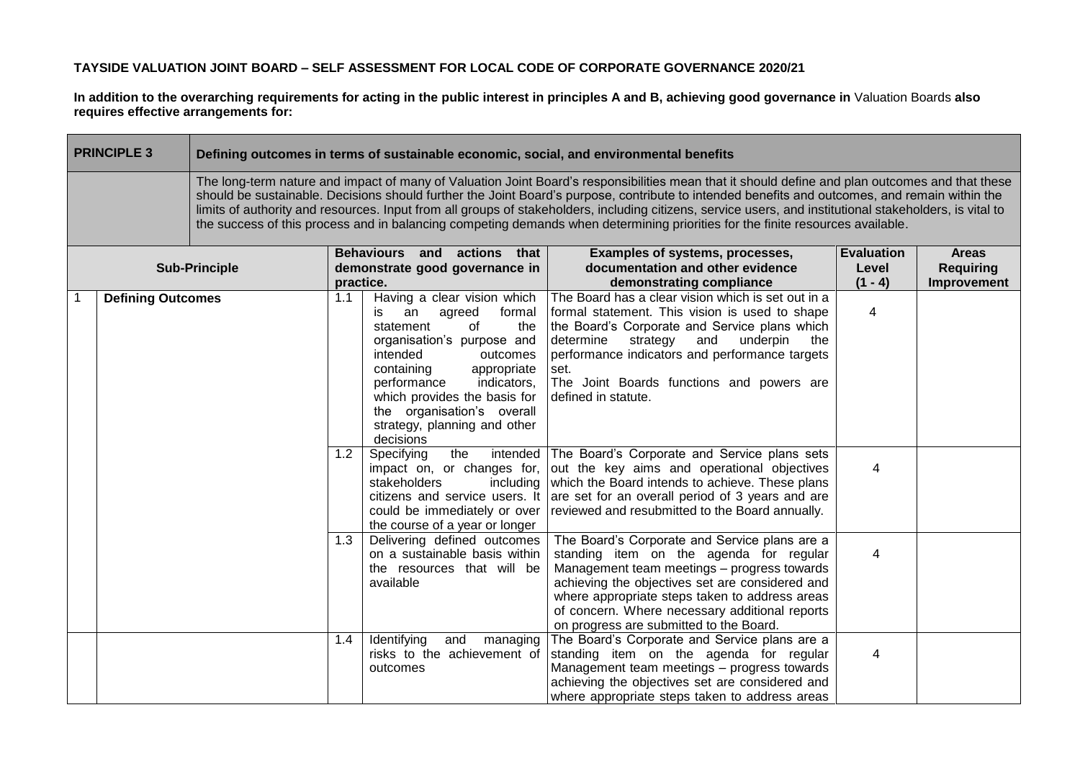**In addition to the overarching requirements for acting in the public interest in principles A and B, achieving good governance in** Valuation Boards **also requires effective arrangements for:**

| <b>PRINCIPLE 3</b>                                                                                                                                                                                                                                                                                                                                                                                                                                                                                                                                                                              |                      | Defining outcomes in terms of sustainable economic, social, and environmental benefits |                                                                                                                                                                                                                                                                                                                           |                                                                                                                                                                                                                                                                                                                                           |                    |                                 |  |
|-------------------------------------------------------------------------------------------------------------------------------------------------------------------------------------------------------------------------------------------------------------------------------------------------------------------------------------------------------------------------------------------------------------------------------------------------------------------------------------------------------------------------------------------------------------------------------------------------|----------------------|----------------------------------------------------------------------------------------|---------------------------------------------------------------------------------------------------------------------------------------------------------------------------------------------------------------------------------------------------------------------------------------------------------------------------|-------------------------------------------------------------------------------------------------------------------------------------------------------------------------------------------------------------------------------------------------------------------------------------------------------------------------------------------|--------------------|---------------------------------|--|
| The long-term nature and impact of many of Valuation Joint Board's responsibilities mean that it should define and plan outcomes and that these<br>should be sustainable. Decisions should further the Joint Board's purpose, contribute to intended benefits and outcomes, and remain within the<br>limits of authority and resources. Input from all groups of stakeholders, including citizens, service users, and institutional stakeholders, is vital to<br>the success of this process and in balancing competing demands when determining priorities for the finite resources available. |                      |                                                                                        |                                                                                                                                                                                                                                                                                                                           |                                                                                                                                                                                                                                                                                                                                           |                    |                                 |  |
|                                                                                                                                                                                                                                                                                                                                                                                                                                                                                                                                                                                                 |                      | Behaviours and actions that<br>Examples of systems, processes,                         |                                                                                                                                                                                                                                                                                                                           |                                                                                                                                                                                                                                                                                                                                           | <b>Evaluation</b>  | <b>Areas</b>                    |  |
|                                                                                                                                                                                                                                                                                                                                                                                                                                                                                                                                                                                                 | <b>Sub-Principle</b> | practice.                                                                              | demonstrate good governance in                                                                                                                                                                                                                                                                                            | documentation and other evidence<br>demonstrating compliance                                                                                                                                                                                                                                                                              | Level<br>$(1 - 4)$ | <b>Requiring</b><br>Improvement |  |
| <b>Defining Outcomes</b>                                                                                                                                                                                                                                                                                                                                                                                                                                                                                                                                                                        |                      | 1.1<br>1.2                                                                             | Having a clear vision which<br>formal<br>an<br>agreed<br>İS.<br>of<br>statement<br>the<br>organisation's purpose and<br>intended<br>outcomes<br>containing<br>appropriate<br>performance<br>indicators,<br>which provides the basis for<br>the organisation's overall<br>strategy, planning and other<br>decisions<br>the | The Board has a clear vision which is set out in a<br>formal statement. This vision is used to shape<br>the Board's Corporate and Service plans which<br>determine<br>strategy<br>and<br>underpin<br>the<br>performance indicators and performance targets<br>set.<br>The Joint Boards functions and powers are<br>defined in statute.    | 4                  |                                 |  |
|                                                                                                                                                                                                                                                                                                                                                                                                                                                                                                                                                                                                 |                      |                                                                                        | Specifying<br>stakeholders<br>including<br>citizens and service users. It<br>could be immediately or over<br>the course of a year or longer                                                                                                                                                                               | intended The Board's Corporate and Service plans sets<br>impact on, or changes for, out the key aims and operational objectives<br>which the Board intends to achieve. These plans<br>are set for an overall period of 3 years and are<br>reviewed and resubmitted to the Board annually.                                                 | $\overline{4}$     |                                 |  |
|                                                                                                                                                                                                                                                                                                                                                                                                                                                                                                                                                                                                 |                      | 1.3                                                                                    | Delivering defined outcomes<br>on a sustainable basis within<br>the resources that will be<br>available                                                                                                                                                                                                                   | The Board's Corporate and Service plans are a<br>standing item on the agenda for regular<br>Management team meetings - progress towards<br>achieving the objectives set are considered and<br>where appropriate steps taken to address areas<br>of concern. Where necessary additional reports<br>on progress are submitted to the Board. | $\overline{4}$     |                                 |  |
|                                                                                                                                                                                                                                                                                                                                                                                                                                                                                                                                                                                                 |                      | 1.4                                                                                    | Identifying<br>and<br>managing<br>risks to the achievement of<br>outcomes                                                                                                                                                                                                                                                 | The Board's Corporate and Service plans are a<br>standing item on the agenda for regular<br>Management team meetings - progress towards<br>achieving the objectives set are considered and<br>where appropriate steps taken to address areas                                                                                              | 4                  |                                 |  |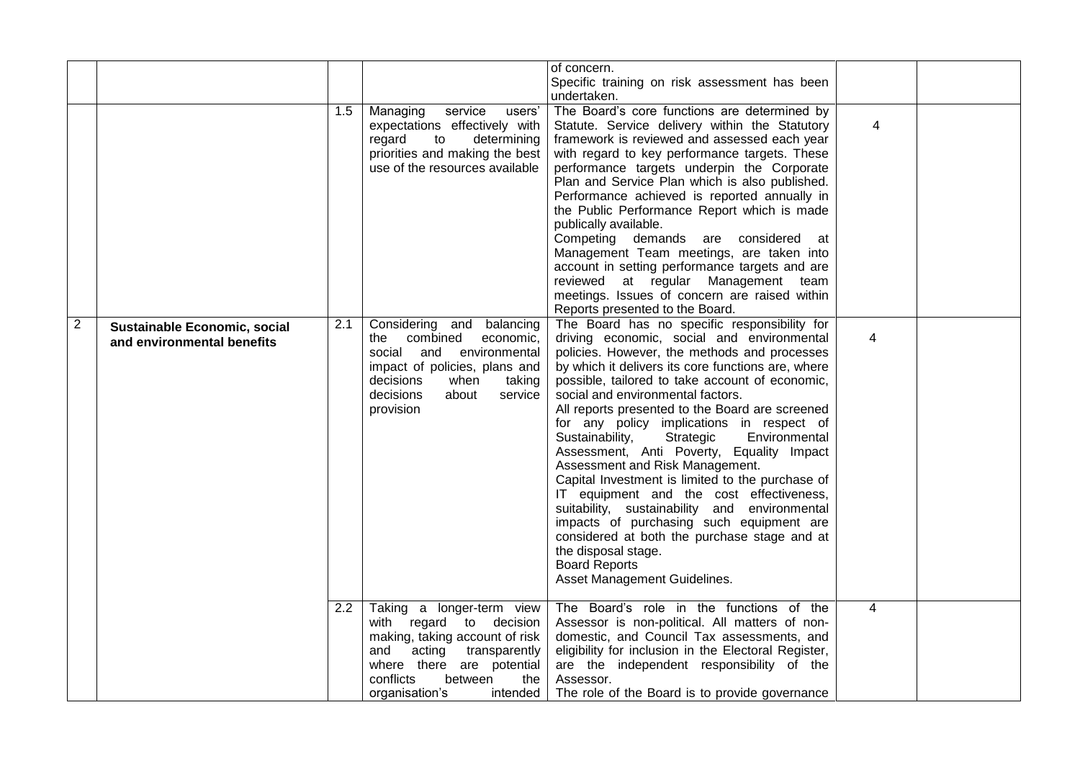|                |                                                            |     |                                                                                                                                                                                                                 | of concern.<br>Specific training on risk assessment has been                                                                                                                                                                                                                                                                                                                                                                                                                                                                                                                                                                                                                                                                                                                                                                                          |                |  |
|----------------|------------------------------------------------------------|-----|-----------------------------------------------------------------------------------------------------------------------------------------------------------------------------------------------------------------|-------------------------------------------------------------------------------------------------------------------------------------------------------------------------------------------------------------------------------------------------------------------------------------------------------------------------------------------------------------------------------------------------------------------------------------------------------------------------------------------------------------------------------------------------------------------------------------------------------------------------------------------------------------------------------------------------------------------------------------------------------------------------------------------------------------------------------------------------------|----------------|--|
|                |                                                            |     |                                                                                                                                                                                                                 | undertaken.                                                                                                                                                                                                                                                                                                                                                                                                                                                                                                                                                                                                                                                                                                                                                                                                                                           |                |  |
|                |                                                            | 1.5 | Managing<br>service<br>users'<br>expectations effectively with<br>regard<br>to<br>determining<br>priorities and making the best<br>use of the resources available                                               | The Board's core functions are determined by<br>Statute. Service delivery within the Statutory<br>framework is reviewed and assessed each year<br>with regard to key performance targets. These<br>performance targets underpin the Corporate<br>Plan and Service Plan which is also published.<br>Performance achieved is reported annually in<br>the Public Performance Report which is made<br>publically available.<br>Competing demands are considered at<br>Management Team meetings, are taken into<br>account in setting performance targets and are<br>reviewed at regular Management team<br>meetings. Issues of concern are raised within<br>Reports presented to the Board.                                                                                                                                                               | 4              |  |
| $\overline{2}$ | Sustainable Economic, social<br>and environmental benefits | 2.1 | Considering and balancing<br>the combined<br>economic,<br>and<br>environmental<br>social<br>impact of policies, plans and<br>decisions<br>when<br>taking<br>decisions<br>about<br>service<br>provision          | The Board has no specific responsibility for<br>driving economic, social and environmental<br>policies. However, the methods and processes<br>by which it delivers its core functions are, where<br>possible, tailored to take account of economic,<br>social and environmental factors.<br>All reports presented to the Board are screened<br>for any policy implications in respect of<br>Sustainability,<br>Strategic<br>Environmental<br>Assessment, Anti Poverty, Equality Impact<br>Assessment and Risk Management.<br>Capital Investment is limited to the purchase of<br>IT equipment and the cost effectiveness,<br>suitability, sustainability and environmental<br>impacts of purchasing such equipment are<br>considered at both the purchase stage and at<br>the disposal stage.<br><b>Board Reports</b><br>Asset Management Guidelines. | 4              |  |
|                |                                                            | 2.2 | Taking a longer-term view<br>with regard to decision<br>making, taking account of risk<br>acting transparently<br>and<br>where there are potential<br>conflicts<br>between<br>the<br>organisation's<br>intended | The Board's role in the functions of the<br>Assessor is non-political. All matters of non-<br>domestic, and Council Tax assessments, and<br>eligibility for inclusion in the Electoral Register,<br>are the independent responsibility of the<br>Assessor.<br>The role of the Board is to provide governance                                                                                                                                                                                                                                                                                                                                                                                                                                                                                                                                          | $\overline{4}$ |  |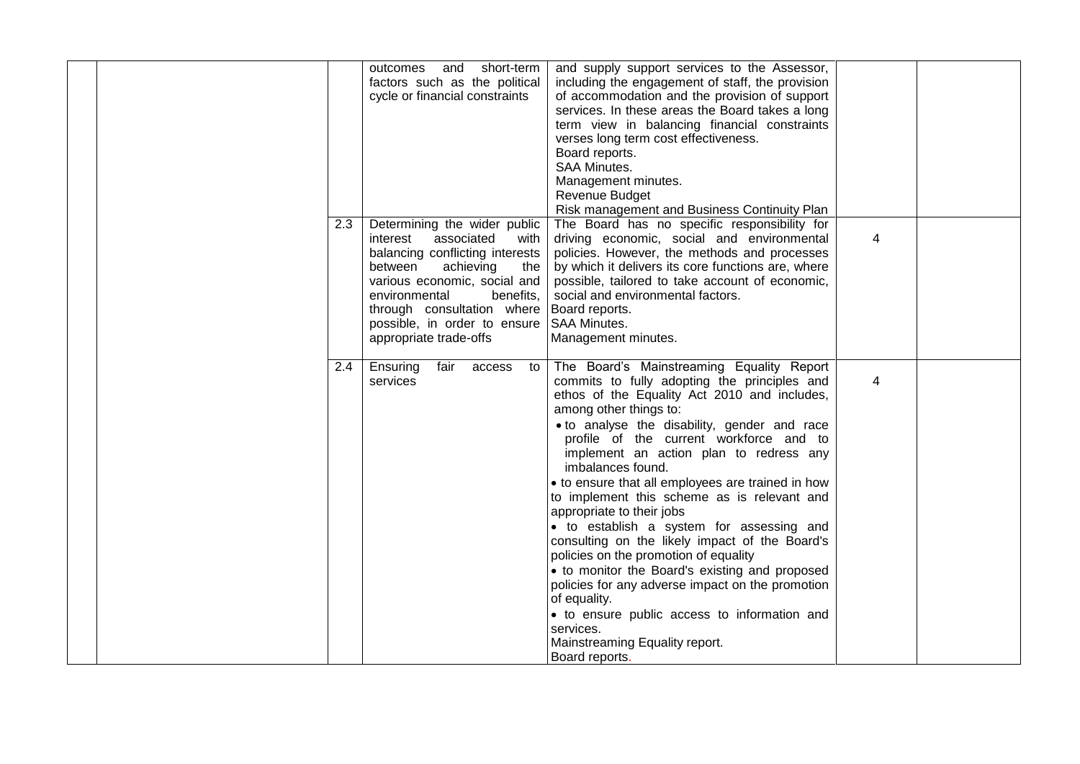|     | outcomes and<br>short-term                                 | and supply support services to the Assessor,                                         |   |  |
|-----|------------------------------------------------------------|--------------------------------------------------------------------------------------|---|--|
|     | factors such as the political                              | including the engagement of staff, the provision                                     |   |  |
|     | cycle or financial constraints                             | of accommodation and the provision of support                                        |   |  |
|     |                                                            | services. In these areas the Board takes a long                                      |   |  |
|     |                                                            | term view in balancing financial constraints                                         |   |  |
|     |                                                            | verses long term cost effectiveness.                                                 |   |  |
|     |                                                            | Board reports.                                                                       |   |  |
|     |                                                            | <b>SAA Minutes.</b>                                                                  |   |  |
|     |                                                            | Management minutes.                                                                  |   |  |
|     |                                                            | <b>Revenue Budget</b>                                                                |   |  |
|     |                                                            | Risk management and Business Continuity Plan                                         |   |  |
| 2.3 | Determining the wider public                               | The Board has no specific responsibility for                                         |   |  |
|     | interest<br>associated<br>with                             | driving economic, social and environmental                                           | 4 |  |
|     | balancing conflicting interests                            | policies. However, the methods and processes                                         |   |  |
|     | between<br>achieving<br>the                                | by which it delivers its core functions are, where                                   |   |  |
|     |                                                            |                                                                                      |   |  |
|     | various economic, social and<br>environmental<br>benefits, | possible, tailored to take account of economic,<br>social and environmental factors. |   |  |
|     | through consultation where                                 |                                                                                      |   |  |
|     |                                                            | Board reports.                                                                       |   |  |
|     | possible, in order to ensure                               | SAA Minutes.                                                                         |   |  |
|     | appropriate trade-offs                                     | Management minutes.                                                                  |   |  |
|     |                                                            |                                                                                      |   |  |
| 2.4 | Ensuring<br>fair<br>access<br>to                           | The Board's Mainstreaming Equality Report                                            |   |  |
|     | services                                                   | commits to fully adopting the principles and                                         | 4 |  |
|     |                                                            | ethos of the Equality Act 2010 and includes,                                         |   |  |
|     |                                                            | among other things to:                                                               |   |  |
|     |                                                            | • to analyse the disability, gender and race                                         |   |  |
|     |                                                            | profile of the current workforce and to                                              |   |  |
|     |                                                            | implement an action plan to redress any                                              |   |  |
|     |                                                            | imbalances found.                                                                    |   |  |
|     |                                                            | • to ensure that all employees are trained in how                                    |   |  |
|     |                                                            | to implement this scheme as is relevant and                                          |   |  |
|     |                                                            | appropriate to their jobs                                                            |   |  |
|     |                                                            | • to establish a system for assessing and                                            |   |  |
|     |                                                            | consulting on the likely impact of the Board's                                       |   |  |
|     |                                                            | policies on the promotion of equality                                                |   |  |
|     |                                                            | • to monitor the Board's existing and proposed                                       |   |  |
|     |                                                            | policies for any adverse impact on the promotion                                     |   |  |
|     |                                                            | of equality.                                                                         |   |  |
|     |                                                            | • to ensure public access to information and                                         |   |  |
|     |                                                            | services.                                                                            |   |  |
|     |                                                            | Mainstreaming Equality report.                                                       |   |  |
|     |                                                            | Board reports.                                                                       |   |  |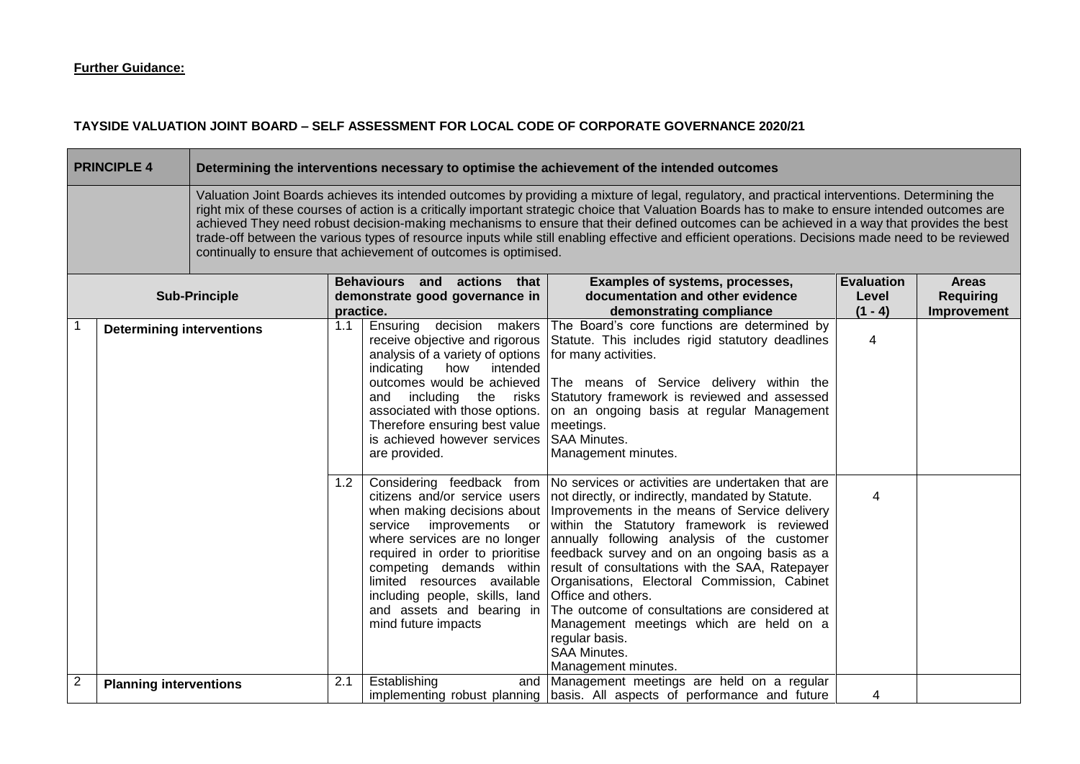## **TAYSIDE VALUATION JOINT BOARD – SELF ASSESSMENT FOR LOCAL CODE OF CORPORATE GOVERNANCE 2020/21**

|                | <b>PRINCIPLE 4</b>                                                                                                                                                                                                                                                                                                                                                                                                                                                                                                                                                                                                                                                           |                      |     |                                                                                                                                                                                                                                                                                             | Determining the interventions necessary to optimise the achievement of the intended outcomes                                                                                                                                                                                                                                                                                                                                                                                                                                                                                                                                                                                                                      |                                         |                                                 |  |
|----------------|------------------------------------------------------------------------------------------------------------------------------------------------------------------------------------------------------------------------------------------------------------------------------------------------------------------------------------------------------------------------------------------------------------------------------------------------------------------------------------------------------------------------------------------------------------------------------------------------------------------------------------------------------------------------------|----------------------|-----|---------------------------------------------------------------------------------------------------------------------------------------------------------------------------------------------------------------------------------------------------------------------------------------------|-------------------------------------------------------------------------------------------------------------------------------------------------------------------------------------------------------------------------------------------------------------------------------------------------------------------------------------------------------------------------------------------------------------------------------------------------------------------------------------------------------------------------------------------------------------------------------------------------------------------------------------------------------------------------------------------------------------------|-----------------------------------------|-------------------------------------------------|--|
|                | Valuation Joint Boards achieves its intended outcomes by providing a mixture of legal, regulatory, and practical interventions. Determining the<br>right mix of these courses of action is a critically important strategic choice that Valuation Boards has to make to ensure intended outcomes are<br>achieved They need robust decision-making mechanisms to ensure that their defined outcomes can be achieved in a way that provides the best<br>trade-off between the various types of resource inputs while still enabling effective and efficient operations. Decisions made need to be reviewed<br>continually to ensure that achievement of outcomes is optimised. |                      |     |                                                                                                                                                                                                                                                                                             |                                                                                                                                                                                                                                                                                                                                                                                                                                                                                                                                                                                                                                                                                                                   |                                         |                                                 |  |
|                |                                                                                                                                                                                                                                                                                                                                                                                                                                                                                                                                                                                                                                                                              | <b>Sub-Principle</b> |     | Behaviours and actions that<br>demonstrate good governance in<br>practice.                                                                                                                                                                                                                  | Examples of systems, processes,<br>documentation and other evidence<br>demonstrating compliance                                                                                                                                                                                                                                                                                                                                                                                                                                                                                                                                                                                                                   | <b>Evaluation</b><br>Level<br>$(1 - 4)$ | <b>Areas</b><br><b>Requiring</b><br>Improvement |  |
|                | <b>Determining interventions</b>                                                                                                                                                                                                                                                                                                                                                                                                                                                                                                                                                                                                                                             |                      | 1.1 | Ensuring<br>decision makers<br>receive objective and rigorous<br>analysis of a variety of options<br>intended<br>indicating<br>how<br>outcomes would be achieved<br>and<br>associated with those options.<br>Therefore ensuring best value<br>is achieved however services<br>are provided. | The Board's core functions are determined by<br>Statute. This includes rigid statutory deadlines<br>for many activities.<br>The means of Service delivery within the<br>including the risks Statutory framework is reviewed and assessed<br>on an ongoing basis at regular Management<br>meetings.<br><b>SAA Minutes.</b><br>Management minutes.                                                                                                                                                                                                                                                                                                                                                                  | $\overline{4}$                          |                                                 |  |
|                |                                                                                                                                                                                                                                                                                                                                                                                                                                                                                                                                                                                                                                                                              |                      | 1.2 | citizens and/or service users<br>improvements or<br>service<br>competing demands within<br>limited resources available<br>including people, skills, land<br>and assets and bearing in<br>mind future impacts                                                                                | Considering feedback from No services or activities are undertaken that are<br>not directly, or indirectly, mandated by Statute.<br>when making decisions about   Improvements in the means of Service delivery<br>within the Statutory framework is reviewed<br>where services are no longer annually following analysis of the customer<br>required in order to prioritise   feedback survey and on an ongoing basis as a<br>result of consultations with the SAA, Ratepayer<br>Organisations, Electoral Commission, Cabinet<br>Office and others.<br>The outcome of consultations are considered at<br>Management meetings which are held on a<br>regular basis.<br><b>SAA Minutes.</b><br>Management minutes. | 4                                       |                                                 |  |
| $\overline{c}$ | <b>Planning interventions</b>                                                                                                                                                                                                                                                                                                                                                                                                                                                                                                                                                                                                                                                |                      | 2.1 | Establishing                                                                                                                                                                                                                                                                                | and Management meetings are held on a regular<br>implementing robust planning basis. All aspects of performance and future                                                                                                                                                                                                                                                                                                                                                                                                                                                                                                                                                                                        | 4                                       |                                                 |  |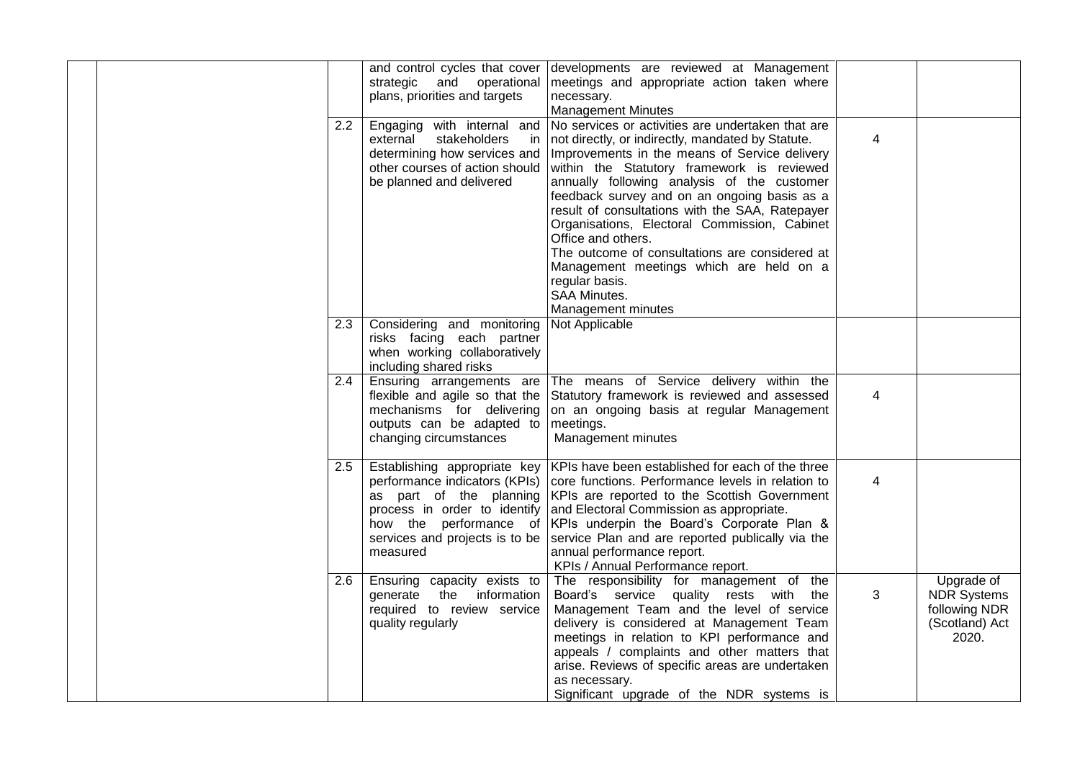|     |                                                                                                                                                 | and control cycles that cover developments are reviewed at Management                                                                                                                                                                                                                                                                                                                                                                                                                                                                                                   |                |                                                                              |
|-----|-------------------------------------------------------------------------------------------------------------------------------------------------|-------------------------------------------------------------------------------------------------------------------------------------------------------------------------------------------------------------------------------------------------------------------------------------------------------------------------------------------------------------------------------------------------------------------------------------------------------------------------------------------------------------------------------------------------------------------------|----------------|------------------------------------------------------------------------------|
|     | strategic and operational                                                                                                                       | meetings and appropriate action taken where                                                                                                                                                                                                                                                                                                                                                                                                                                                                                                                             |                |                                                                              |
|     | plans, priorities and targets                                                                                                                   | necessary.                                                                                                                                                                                                                                                                                                                                                                                                                                                                                                                                                              |                |                                                                              |
|     |                                                                                                                                                 | <b>Management Minutes</b>                                                                                                                                                                                                                                                                                                                                                                                                                                                                                                                                               |                |                                                                              |
| 2.2 | external<br>stakeholders<br>in.<br>determining how services and<br>other courses of action should<br>be planned and delivered                   | Engaging with internal and No services or activities are undertaken that are<br>not directly, or indirectly, mandated by Statute.<br>Improvements in the means of Service delivery<br>within the Statutory framework is reviewed<br>annually following analysis of the customer<br>feedback survey and on an ongoing basis as a<br>result of consultations with the SAA, Ratepayer<br>Organisations, Electoral Commission, Cabinet<br>Office and others.<br>The outcome of consultations are considered at<br>Management meetings which are held on a<br>regular basis. | $\overline{4}$ |                                                                              |
|     |                                                                                                                                                 | SAA Minutes.                                                                                                                                                                                                                                                                                                                                                                                                                                                                                                                                                            |                |                                                                              |
|     |                                                                                                                                                 | Management minutes                                                                                                                                                                                                                                                                                                                                                                                                                                                                                                                                                      |                |                                                                              |
| 2.3 | Considering and monitoring<br>risks facing each partner<br>when working collaboratively<br>including shared risks                               | Not Applicable                                                                                                                                                                                                                                                                                                                                                                                                                                                                                                                                                          |                |                                                                              |
| 2.4 | Ensuring arrangements are<br>flexible and agile so that the<br>mechanisms for delivering<br>outputs can be adapted to<br>changing circumstances | The means of Service delivery within the<br>Statutory framework is reviewed and assessed<br>on an ongoing basis at regular Management<br>meetings.<br>Management minutes                                                                                                                                                                                                                                                                                                                                                                                                | 4              |                                                                              |
| 2.5 | performance indicators (KPIs)<br>process in order to identify<br>how the performance of<br>services and projects is to be<br>measured           | Establishing appropriate key   KPIs have been established for each of the three<br>core functions. Performance levels in relation to<br>as part of the planning KPIs are reported to the Scottish Government<br>and Electoral Commission as appropriate.<br>KPIs underpin the Board's Corporate Plan &<br>service Plan and are reported publically via the<br>annual performance report.<br>KPIs / Annual Performance report.                                                                                                                                           | 4              |                                                                              |
| 2.6 | Ensuring capacity exists to<br>generate the information<br>required to review service<br>quality regularly                                      | The responsibility for management of the<br>Board's service quality rests with the<br>Management Team and the level of service<br>delivery is considered at Management Team<br>meetings in relation to KPI performance and<br>appeals / complaints and other matters that<br>arise. Reviews of specific areas are undertaken<br>as necessary.<br>Significant upgrade of the NDR systems is                                                                                                                                                                              | 3              | Upgrade of<br><b>NDR</b> Systems<br>following NDR<br>(Scotland) Act<br>2020. |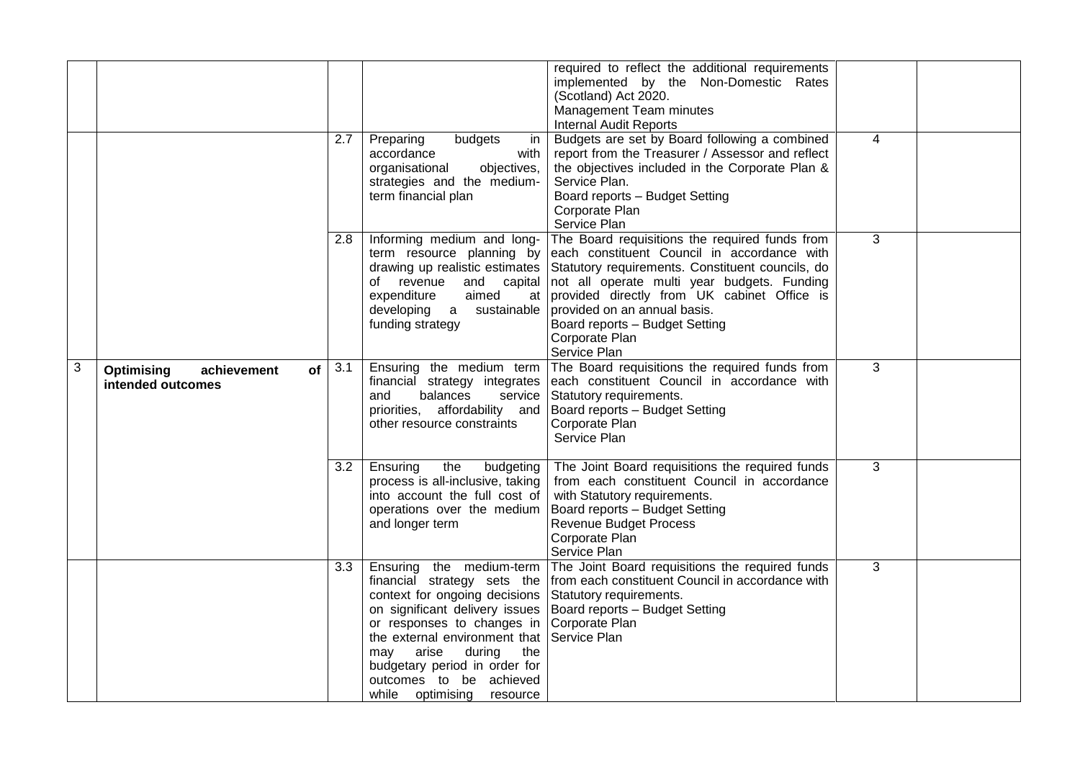|   |                                                                    |     |                                                                                                                                                                                                                                                                                                                                  | required to reflect the additional requirements<br>implemented by the Non-Domestic Rates<br>(Scotland) Act 2020.<br>Management Team minutes<br><b>Internal Audit Reports</b>                                                                                                                                                                                                                                                           |                |  |
|---|--------------------------------------------------------------------|-----|----------------------------------------------------------------------------------------------------------------------------------------------------------------------------------------------------------------------------------------------------------------------------------------------------------------------------------|----------------------------------------------------------------------------------------------------------------------------------------------------------------------------------------------------------------------------------------------------------------------------------------------------------------------------------------------------------------------------------------------------------------------------------------|----------------|--|
|   |                                                                    | 2.7 | budgets<br>Preparing<br>-in<br>accordance<br>with<br>organisational<br>objectives,<br>strategies and the medium-<br>term financial plan                                                                                                                                                                                          | Budgets are set by Board following a combined<br>report from the Treasurer / Assessor and reflect<br>the objectives included in the Corporate Plan &<br>Service Plan.<br>Board reports - Budget Setting<br>Corporate Plan<br>Service Plan                                                                                                                                                                                              | 4              |  |
|   |                                                                    | 2.8 | Informing medium and long-<br>expenditure<br>aimed<br>developing a<br>sustainable<br>funding strategy                                                                                                                                                                                                                            | The Board requisitions the required funds from<br>term resource planning by each constituent Council in accordance with<br>drawing up realistic estimates Statutory requirements. Constituent councils, do<br>of revenue and capital not all operate multi year budgets. Funding<br>at provided directly from UK cabinet Office is<br>provided on an annual basis.<br>Board reports - Budget Setting<br>Corporate Plan<br>Service Plan | 3              |  |
| 3 | <b>Optimising</b><br>achievement<br><b>of</b><br>intended outcomes | 3.1 | Ensuring the medium term<br>financial strategy integrates<br>balances<br>service<br>and<br>priorities, affordability and<br>other resource constraints                                                                                                                                                                           | The Board requisitions the required funds from<br>each constituent Council in accordance with<br>Statutory requirements.<br>Board reports - Budget Setting<br>Corporate Plan<br>Service Plan                                                                                                                                                                                                                                           | $\overline{3}$ |  |
|   |                                                                    | 3.2 | Ensuring<br>the<br>budgeting<br>process is all-inclusive, taking<br>into account the full cost of<br>operations over the medium<br>and longer term                                                                                                                                                                               | The Joint Board requisitions the required funds<br>from each constituent Council in accordance<br>with Statutory requirements.<br>Board reports - Budget Setting<br><b>Revenue Budget Process</b><br>Corporate Plan<br>Service Plan                                                                                                                                                                                                    | 3              |  |
|   |                                                                    | 3.3 | Ensuring the medium-term<br>financial strategy sets the<br>context for ongoing decisions<br>on significant delivery issues<br>or responses to changes in<br>the external environment that Service Plan<br>arise<br>during<br>the<br>may<br>budgetary period in order for<br>outcomes to be achieved<br>while optimising resource | The Joint Board requisitions the required funds<br>from each constituent Council in accordance with<br>Statutory requirements.<br>Board reports - Budget Setting<br>Corporate Plan                                                                                                                                                                                                                                                     | 3              |  |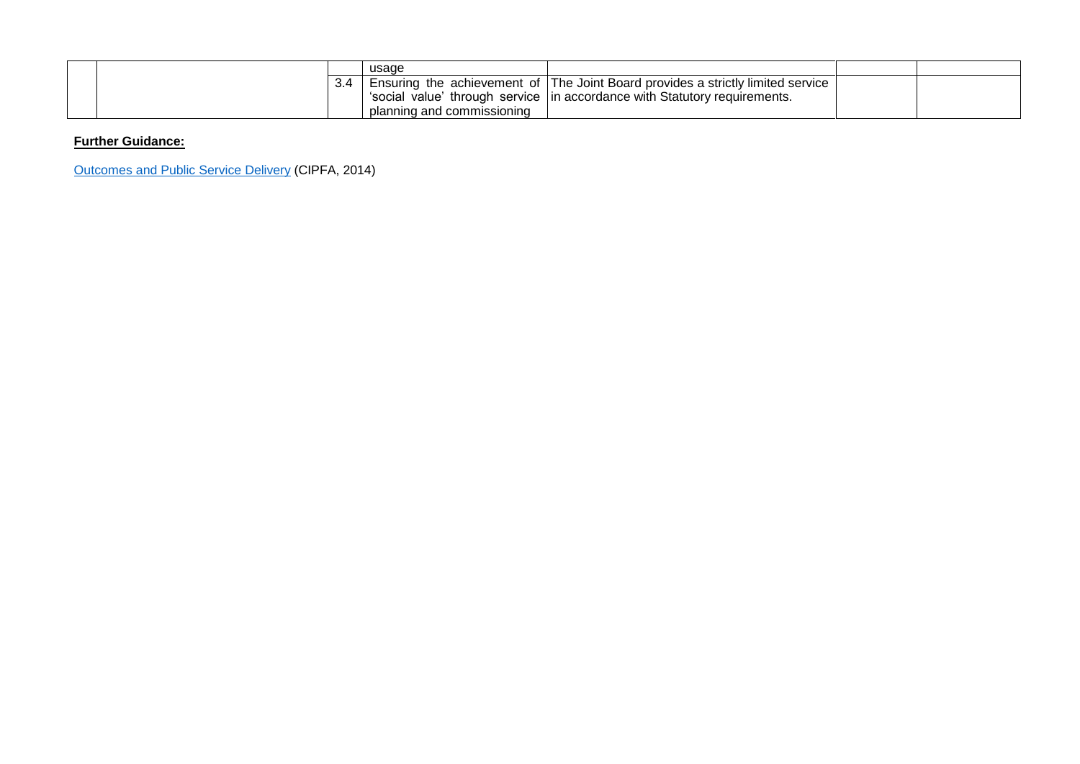|  | usage                      |                                                                                 |  |
|--|----------------------------|---------------------------------------------------------------------------------|--|
|  |                            | Ensuring the achievement of The Joint Board provides a strictly limited service |  |
|  |                            | 'social value' through service   in accordance with Statutory requirements.     |  |
|  | planning and commissioning |                                                                                 |  |

[Outcomes and Public Service Delivery](http://www.cipfa.org/policy-and-guidance/publications/o/outcomes-and-public-service-delivery-book) (CIPFA, 2014)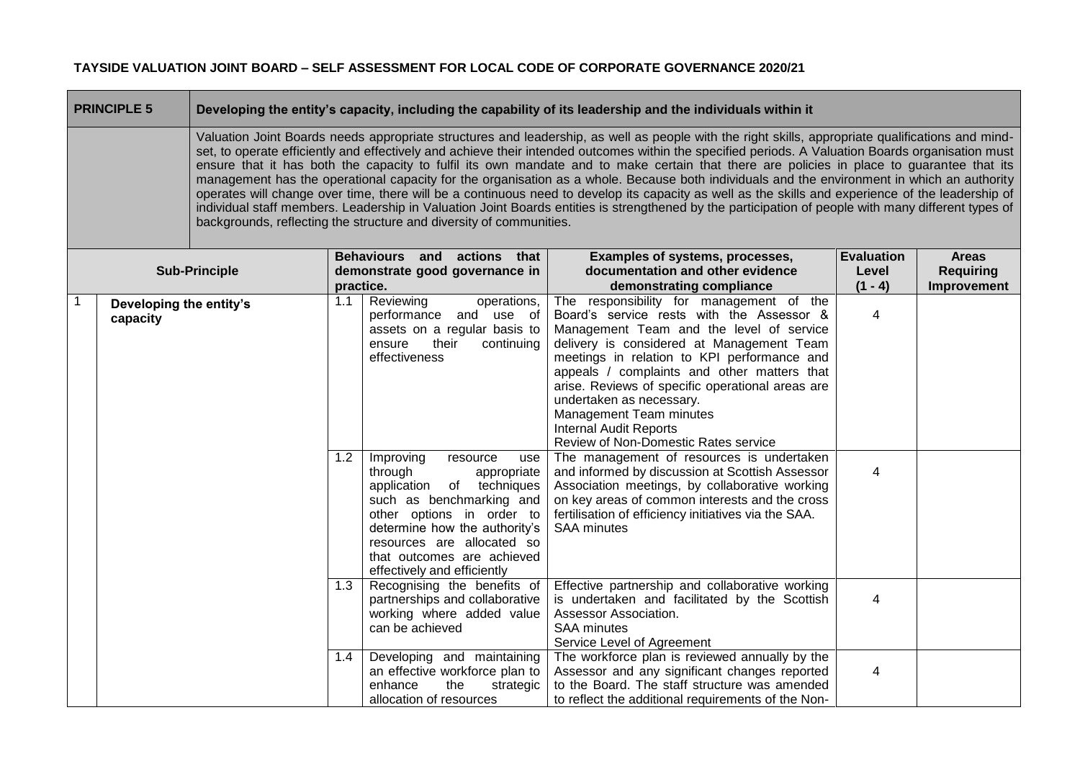|                                     | <b>PRINCIPLE 5</b>                                                                                                                                                                                                                                                                                                                                                                                                                                                                                                                                                                                                                                                                                                                                                                                                                                                                                                                                                                     |                      | Developing the entity's capacity, including the capability of its leadership and the individuals within it |                                                                                                                                                                                                                                                                          |                                                                                                                                                                                                                                                                                                                                                                                                                                                                  |                                         |                                                 |  |
|-------------------------------------|----------------------------------------------------------------------------------------------------------------------------------------------------------------------------------------------------------------------------------------------------------------------------------------------------------------------------------------------------------------------------------------------------------------------------------------------------------------------------------------------------------------------------------------------------------------------------------------------------------------------------------------------------------------------------------------------------------------------------------------------------------------------------------------------------------------------------------------------------------------------------------------------------------------------------------------------------------------------------------------|----------------------|------------------------------------------------------------------------------------------------------------|--------------------------------------------------------------------------------------------------------------------------------------------------------------------------------------------------------------------------------------------------------------------------|------------------------------------------------------------------------------------------------------------------------------------------------------------------------------------------------------------------------------------------------------------------------------------------------------------------------------------------------------------------------------------------------------------------------------------------------------------------|-----------------------------------------|-------------------------------------------------|--|
|                                     | Valuation Joint Boards needs appropriate structures and leadership, as well as people with the right skills, appropriate qualifications and mind-<br>set, to operate efficiently and effectively and achieve their intended outcomes within the specified periods. A Valuation Boards organisation must<br>ensure that it has both the capacity to fulfil its own mandate and to make certain that there are policies in place to guarantee that its<br>management has the operational capacity for the organisation as a whole. Because both individuals and the environment in which an authority<br>operates will change over time, there will be a continuous need to develop its capacity as well as the skills and experience of the leadership of<br>individual staff members. Leadership in Valuation Joint Boards entities is strengthened by the participation of people with many different types of<br>backgrounds, reflecting the structure and diversity of communities. |                      |                                                                                                            |                                                                                                                                                                                                                                                                          |                                                                                                                                                                                                                                                                                                                                                                                                                                                                  |                                         |                                                 |  |
|                                     |                                                                                                                                                                                                                                                                                                                                                                                                                                                                                                                                                                                                                                                                                                                                                                                                                                                                                                                                                                                        | <b>Sub-Principle</b> | Behaviours and actions that<br>demonstrate good governance in<br>practice.                                 |                                                                                                                                                                                                                                                                          | Examples of systems, processes,<br>documentation and other evidence<br>demonstrating compliance                                                                                                                                                                                                                                                                                                                                                                  | <b>Evaluation</b><br>Level<br>$(1 - 4)$ | <b>Areas</b><br><b>Requiring</b><br>Improvement |  |
| Developing the entity's<br>capacity |                                                                                                                                                                                                                                                                                                                                                                                                                                                                                                                                                                                                                                                                                                                                                                                                                                                                                                                                                                                        |                      | 1.1                                                                                                        | Reviewing<br>operations,<br>performance and use of<br>assets on a regular basis to<br>their<br>ensure<br>continuing<br>effectiveness                                                                                                                                     | The responsibility for management of the<br>Board's service rests with the Assessor &<br>Management Team and the level of service<br>delivery is considered at Management Team<br>meetings in relation to KPI performance and<br>appeals / complaints and other matters that<br>arise. Reviews of specific operational areas are<br>undertaken as necessary.<br>Management Team minutes<br><b>Internal Audit Reports</b><br>Review of Non-Domestic Rates service | $\overline{4}$                          |                                                 |  |
|                                     |                                                                                                                                                                                                                                                                                                                                                                                                                                                                                                                                                                                                                                                                                                                                                                                                                                                                                                                                                                                        |                      | 1.2                                                                                                        | Improving<br>resource<br>use<br>through<br>appropriate<br>application of techniques<br>such as benchmarking and<br>other options in order to<br>determine how the authority's<br>resources are allocated so<br>that outcomes are achieved<br>effectively and efficiently | The management of resources is undertaken<br>and informed by discussion at Scottish Assessor<br>Association meetings, by collaborative working<br>on key areas of common interests and the cross<br>fertilisation of efficiency initiatives via the SAA.<br><b>SAA minutes</b>                                                                                                                                                                                   | $\overline{\mathbf{4}}$                 |                                                 |  |
|                                     |                                                                                                                                                                                                                                                                                                                                                                                                                                                                                                                                                                                                                                                                                                                                                                                                                                                                                                                                                                                        |                      | 1.3                                                                                                        | Recognising the benefits of<br>partnerships and collaborative<br>working where added value<br>can be achieved                                                                                                                                                            | Effective partnership and collaborative working<br>is undertaken and facilitated by the Scottish<br>Assessor Association.<br><b>SAA minutes</b><br>Service Level of Agreement                                                                                                                                                                                                                                                                                    | $\overline{4}$                          |                                                 |  |
|                                     |                                                                                                                                                                                                                                                                                                                                                                                                                                                                                                                                                                                                                                                                                                                                                                                                                                                                                                                                                                                        |                      | $1.4^{\circ}$                                                                                              | Developing and maintaining<br>an effective workforce plan to<br>enhance<br>the<br>strategic<br>allocation of resources                                                                                                                                                   | The workforce plan is reviewed annually by the<br>Assessor and any significant changes reported<br>to the Board. The staff structure was amended<br>to reflect the additional requirements of the Non-                                                                                                                                                                                                                                                           | 4                                       |                                                 |  |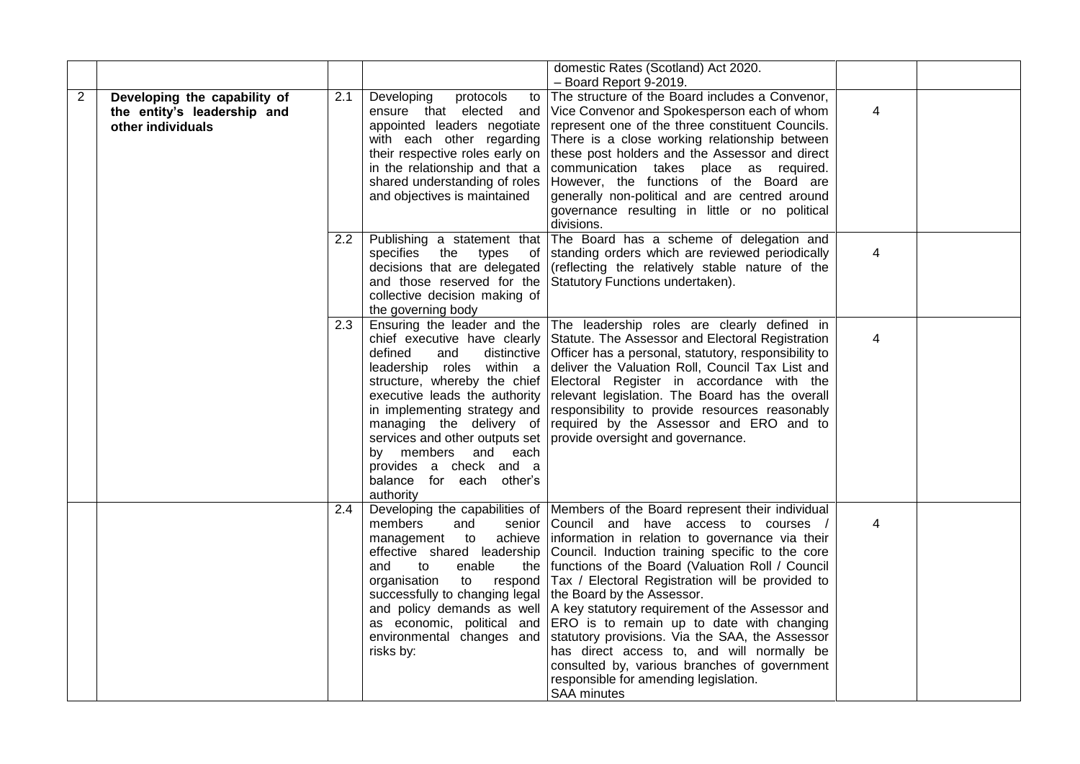|                |                                                                                  |                  |                                                                                                                                                                                                                                                                    | domestic Rates (Scotland) Act 2020.<br>- Board Report 9-2019.                                                                                                                                                                                                                                                                                                                                                                                                                                                                                                                                                                                                                                                                                 |   |  |
|----------------|----------------------------------------------------------------------------------|------------------|--------------------------------------------------------------------------------------------------------------------------------------------------------------------------------------------------------------------------------------------------------------------|-----------------------------------------------------------------------------------------------------------------------------------------------------------------------------------------------------------------------------------------------------------------------------------------------------------------------------------------------------------------------------------------------------------------------------------------------------------------------------------------------------------------------------------------------------------------------------------------------------------------------------------------------------------------------------------------------------------------------------------------------|---|--|
| $\overline{2}$ | Developing the capability of<br>the entity's leadership and<br>other individuals | 2.1              | Developing<br>protocols<br>to<br>ensure that elected and<br>appointed leaders negotiate<br>with each other regarding<br>their respective roles early on<br>in the relationship and that a<br>shared understanding of roles<br>and objectives is maintained         | The structure of the Board includes a Convenor,<br>Vice Convenor and Spokesperson each of whom<br>represent one of the three constituent Councils.<br>There is a close working relationship between<br>these post holders and the Assessor and direct<br>communication takes place as required.<br>However, the functions of the Board are<br>generally non-political and are centred around<br>governance resulting in little or no political<br>divisions.                                                                                                                                                                                                                                                                                  | 4 |  |
|                |                                                                                  | 2.2 <sub>2</sub> | decisions that are delegated<br>collective decision making of<br>the governing body                                                                                                                                                                                | Publishing a statement that The Board has a scheme of delegation and<br>specifies the types of standing orders which are reviewed periodically<br>(reflecting the relatively stable nature of the<br>and those reserved for the Statutory Functions undertaken).                                                                                                                                                                                                                                                                                                                                                                                                                                                                              | 4 |  |
|                |                                                                                  | $2.3^{\circ}$    | defined<br>and<br>leadership roles within a<br>structure, whereby the chief<br>executive leads the authority<br>in implementing strategy and<br>managing the delivery of<br>by members and each<br>provides a check and a<br>balance for each other's<br>authority | Ensuring the leader and the The leadership roles are clearly defined in<br>chief executive have clearly Statute. The Assessor and Electoral Registration<br>distinctive   Officer has a personal, statutory, responsibility to<br>deliver the Valuation Roll, Council Tax List and<br>Electoral Register in accordance with the<br>relevant legislation. The Board has the overall<br>responsibility to provide resources reasonably<br>required by the Assessor and ERO and to<br>services and other outputs set   provide oversight and governance.                                                                                                                                                                                         | 4 |  |
|                |                                                                                  | 2.4              | members<br>and<br>effective shared leadership<br>enable<br>to<br>and<br>the<br>organisation<br>to respond<br>successfully to changing legal<br>and policy demands as well<br>environmental changes and<br>risks by:                                                | Developing the capabilities of   Members of the Board represent their individual<br>senior Council and have access to courses /<br>management to achieve information in relation to governance via their<br>Council. Induction training specific to the core<br>functions of the Board (Valuation Roll / Council<br>Tax / Electoral Registration will be provided to<br>the Board by the Assessor.<br>A key statutory requirement of the Assessor and<br>as economic, political and ERO is to remain up to date with changing<br>statutory provisions. Via the SAA, the Assessor<br>has direct access to, and will normally be<br>consulted by, various branches of government<br>responsible for amending legislation.<br><b>SAA minutes</b> | 4 |  |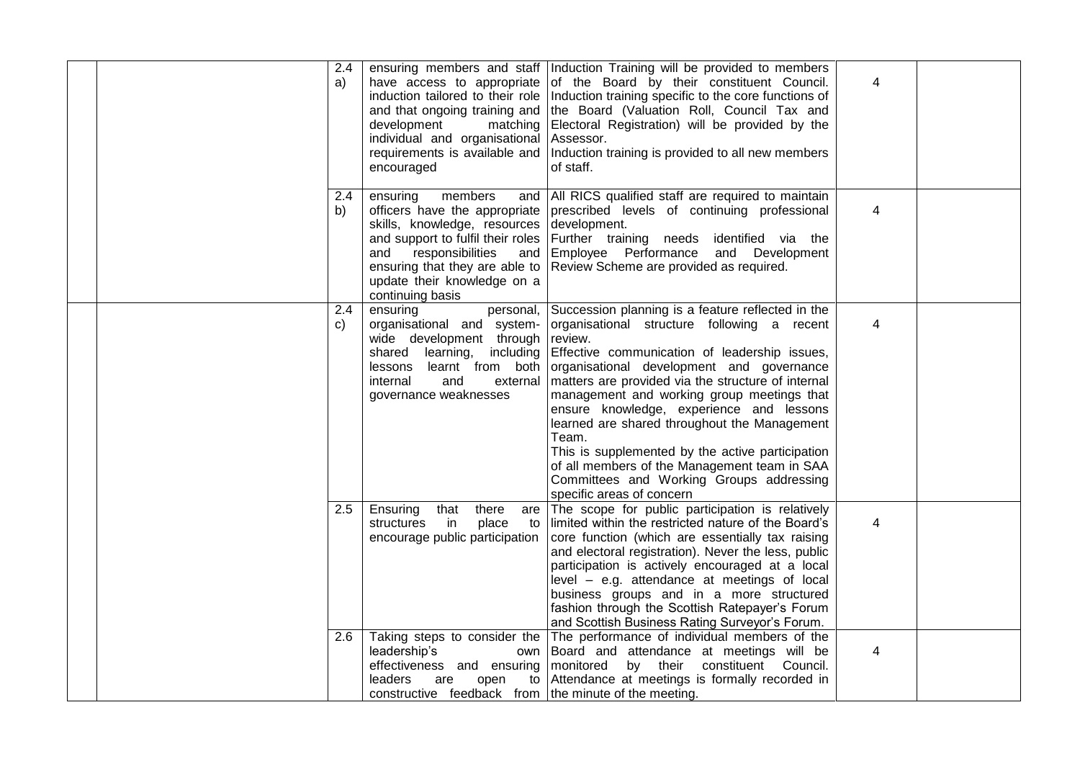|  | 2.4<br>a)           | induction tailored to their role<br>and that ongoing training and<br>development<br>matching<br>individual and organisational<br>requirements is available and<br>encouraged                                                                     | ensuring members and staff Induction Training will be provided to members<br>have access to appropriate of the Board by their constituent Council.<br>Induction training specific to the core functions of<br>the Board (Valuation Roll, Council Tax and<br>Electoral Registration) will be provided by the<br>Assessor.<br>Induction training is provided to all new members<br>of staff.                                                                                                                                                                                                                | 4 |  |
|--|---------------------|--------------------------------------------------------------------------------------------------------------------------------------------------------------------------------------------------------------------------------------------------|-----------------------------------------------------------------------------------------------------------------------------------------------------------------------------------------------------------------------------------------------------------------------------------------------------------------------------------------------------------------------------------------------------------------------------------------------------------------------------------------------------------------------------------------------------------------------------------------------------------|---|--|
|  | $2.4^{\circ}$<br>b) | ensuring<br>members<br>officers have the appropriate<br>skills, knowledge, resources<br>and support to fulfil their roles<br>responsibilities<br>and<br>and<br>ensuring that they are able to<br>update their knowledge on a<br>continuing basis | and   All RICS qualified staff are required to maintain<br>prescribed levels of continuing professional<br>development.<br>Further training needs identified via the<br>Employee Performance and Development<br>Review Scheme are provided as required.                                                                                                                                                                                                                                                                                                                                                   | 4 |  |
|  | 2.4<br>C)           | ensuring<br>organisational and system-<br>wide development through<br>including<br>shared learning,<br>learnt from both<br>lessons<br>internal<br>and<br>external<br>governance weaknesses                                                       | personal, Succession planning is a feature reflected in the<br>organisational structure following a recent<br>review.<br>Effective communication of leadership issues,<br>organisational development and governance<br>matters are provided via the structure of internal<br>management and working group meetings that<br>ensure knowledge, experience and lessons<br>learned are shared throughout the Management<br>Team.<br>This is supplemented by the active participation<br>of all members of the Management team in SAA<br>Committees and Working Groups addressing<br>specific areas of concern | 4 |  |
|  | 2.5                 | Ensuring<br>that<br>there<br>are<br>place<br>structures<br>in<br>to<br>encourage public participation                                                                                                                                            | The scope for public participation is relatively<br>limited within the restricted nature of the Board's<br>core function (which are essentially tax raising<br>and electoral registration). Never the less, public<br>participation is actively encouraged at a local<br>level - e.g. attendance at meetings of local<br>business groups and in a more structured<br>fashion through the Scottish Ratepayer's Forum<br>and Scottish Business Rating Surveyor's Forum.                                                                                                                                     | 4 |  |
|  | 2.6                 | Taking steps to consider the<br>leadership's<br>own<br>leaders<br>are<br>constructive feedback from the minute of the meeting.                                                                                                                   | The performance of individual members of the<br>Board and attendance at meetings will be<br>effectiveness and ensuring monitored by their constituent Council.<br>open to Attendance at meetings is formally recorded in                                                                                                                                                                                                                                                                                                                                                                                  | 4 |  |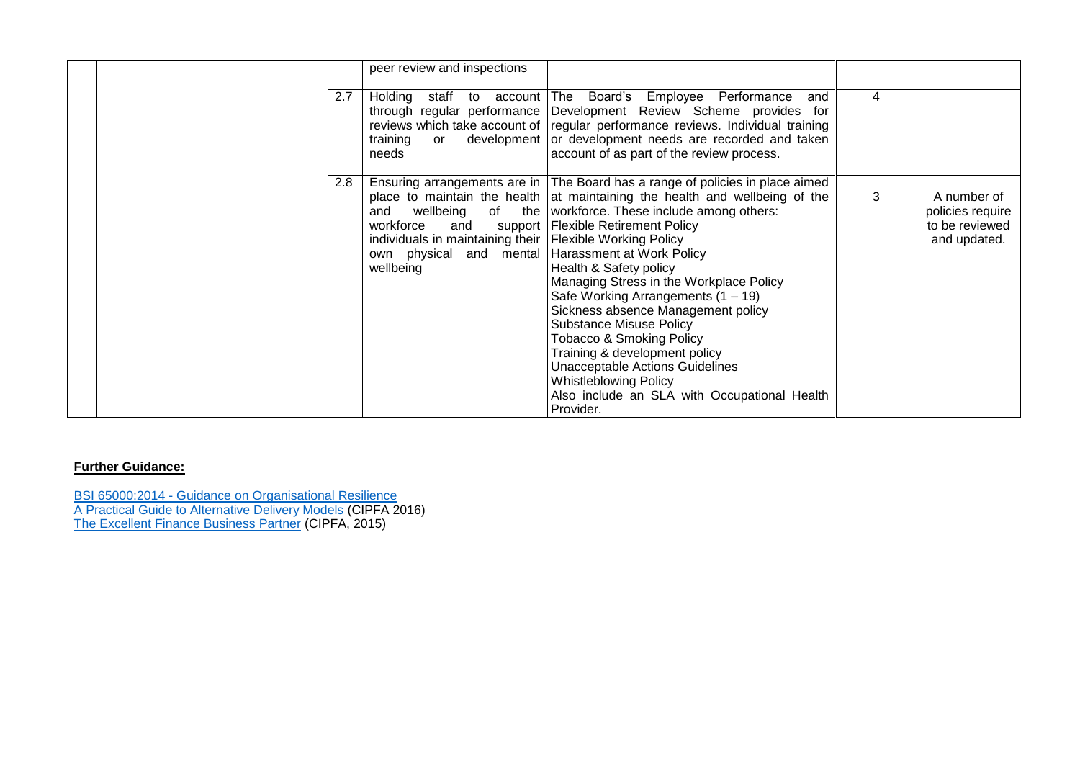|     | peer review and inspections                                                                                                                      |                                                                                                                                                                                                                                                                                                                                                                                                                                                                                                                                                                                                                                                              |   |                                                                   |
|-----|--------------------------------------------------------------------------------------------------------------------------------------------------|--------------------------------------------------------------------------------------------------------------------------------------------------------------------------------------------------------------------------------------------------------------------------------------------------------------------------------------------------------------------------------------------------------------------------------------------------------------------------------------------------------------------------------------------------------------------------------------------------------------------------------------------------------------|---|-------------------------------------------------------------------|
| 2.7 | training<br>$\alpha$<br>needs                                                                                                                    | Holding staff to account The Board's Employee Performance<br>and<br>through regular performance Development Review Scheme provides for<br>reviews which take account of regular performance reviews. Individual training<br>development or development needs are recorded and taken<br>account of as part of the review process.                                                                                                                                                                                                                                                                                                                             | 4 |                                                                   |
| 2.8 | and<br>workforce<br>individuals in maintaining their   Flexible Working Policy<br>own physical and mental Harassment at Work Policy<br>wellbeing | Ensuring arrangements are in The Board has a range of policies in place aimed<br>place to maintain the health at maintaining the health and wellbeing of the<br>wellbeing of the workforce. These include among others:<br>and support   Flexible Retirement Policy<br>Health & Safety policy<br>Managing Stress in the Workplace Policy<br>Safe Working Arrangements $(1 - 19)$<br>Sickness absence Management policy<br><b>Substance Misuse Policy</b><br>Tobacco & Smoking Policy<br>Training & development policy<br><b>Unacceptable Actions Guidelines</b><br><b>Whistleblowing Policy</b><br>Also include an SLA with Occupational Health<br>Provider. | 3 | A number of<br>policies require<br>to be reviewed<br>and updated. |

BSI 65000:2014 - [Guidance on Organisational Resilience](http://shop.bsigroup.com/ProductDetail/?pid=000000000030258792) [A Practical Guide to Alternative Delivery Models](http://www.cipfa.org/policy-and-guidance/publications/a/a-practical-guide-to-alternative-delivery-models-online) (CIPFA 2016) [The Excellent Finance Business Partner](http://www.cipfa.org/policy-and-guidance/publications/t/the-excellent-finance-business-partner-book) (CIPFA, 2015)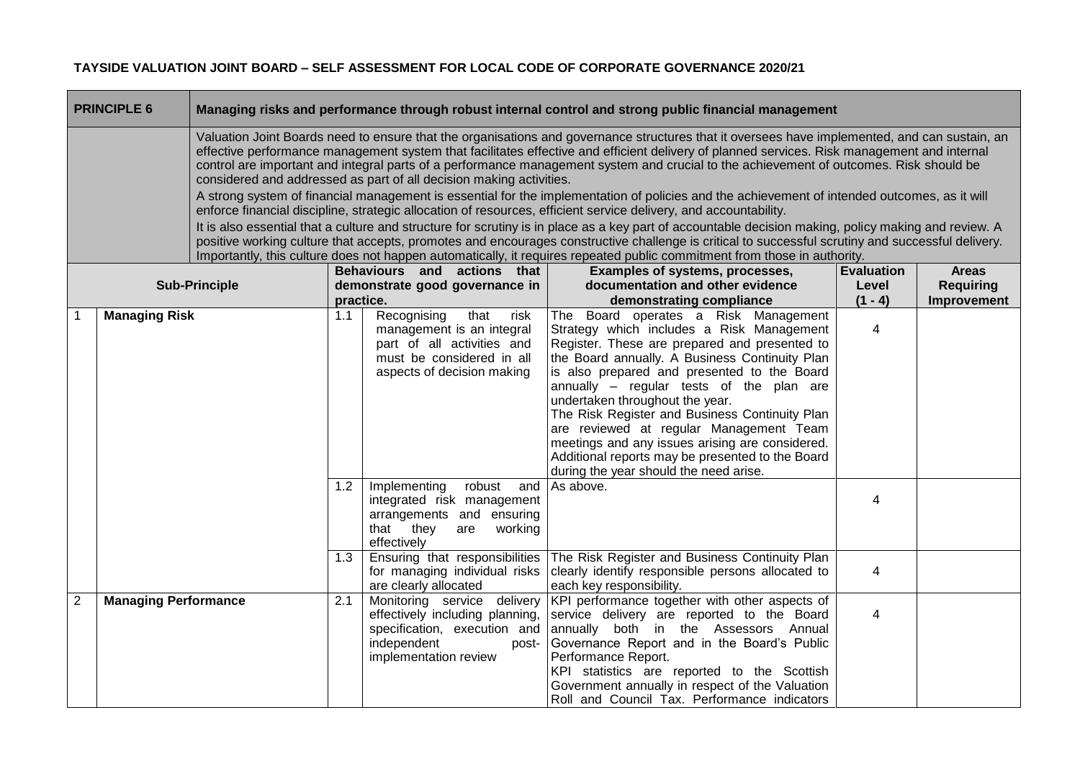|                                                                                                                                                                                                                                                                                                                                                                                                                                                                                                                                                                                                                                                                                                                                                                                                                                                                                                                                                                                                                                                                                                                                                                                                                            | <b>PRINCIPLE 6</b>          |                      |                                                                                                                                                                                                                                                                              |                                                                                                                                                                                                                                                                                                                                                                                                                                                                                                                                                                               | Managing risks and performance through robust internal control and strong public financial management                                                                                                                                                                                                                                                         |                            |                                  |  |  |  |
|----------------------------------------------------------------------------------------------------------------------------------------------------------------------------------------------------------------------------------------------------------------------------------------------------------------------------------------------------------------------------------------------------------------------------------------------------------------------------------------------------------------------------------------------------------------------------------------------------------------------------------------------------------------------------------------------------------------------------------------------------------------------------------------------------------------------------------------------------------------------------------------------------------------------------------------------------------------------------------------------------------------------------------------------------------------------------------------------------------------------------------------------------------------------------------------------------------------------------|-----------------------------|----------------------|------------------------------------------------------------------------------------------------------------------------------------------------------------------------------------------------------------------------------------------------------------------------------|-------------------------------------------------------------------------------------------------------------------------------------------------------------------------------------------------------------------------------------------------------------------------------------------------------------------------------------------------------------------------------------------------------------------------------------------------------------------------------------------------------------------------------------------------------------------------------|---------------------------------------------------------------------------------------------------------------------------------------------------------------------------------------------------------------------------------------------------------------------------------------------------------------------------------------------------------------|----------------------------|----------------------------------|--|--|--|
| Valuation Joint Boards need to ensure that the organisations and governance structures that it oversees have implemented, and can sustain, an<br>effective performance management system that facilitates effective and efficient delivery of planned services. Risk management and internal<br>control are important and integral parts of a performance management system and crucial to the achievement of outcomes. Risk should be<br>considered and addressed as part of all decision making activities.<br>A strong system of financial management is essential for the implementation of policies and the achievement of intended outcomes, as it will<br>enforce financial discipline, strategic allocation of resources, efficient service delivery, and accountability.<br>It is also essential that a culture and structure for scrutiny is in place as a key part of accountable decision making, policy making and review. A<br>positive working culture that accepts, promotes and encourages constructive challenge is critical to successful scrutiny and successful delivery.<br>Importantly, this culture does not happen automatically, it requires repeated public commitment from those in authority. |                             |                      |                                                                                                                                                                                                                                                                              |                                                                                                                                                                                                                                                                                                                                                                                                                                                                                                                                                                               |                                                                                                                                                                                                                                                                                                                                                               |                            |                                  |  |  |  |
|                                                                                                                                                                                                                                                                                                                                                                                                                                                                                                                                                                                                                                                                                                                                                                                                                                                                                                                                                                                                                                                                                                                                                                                                                            |                             | <b>Sub-Principle</b> |                                                                                                                                                                                                                                                                              | Behaviours and actions that<br>demonstrate good governance in                                                                                                                                                                                                                                                                                                                                                                                                                                                                                                                 | Examples of systems, processes,<br>documentation and other evidence                                                                                                                                                                                                                                                                                           | <b>Evaluation</b><br>Level | <b>Areas</b><br><b>Requiring</b> |  |  |  |
|                                                                                                                                                                                                                                                                                                                                                                                                                                                                                                                                                                                                                                                                                                                                                                                                                                                                                                                                                                                                                                                                                                                                                                                                                            |                             |                      | practice.                                                                                                                                                                                                                                                                    |                                                                                                                                                                                                                                                                                                                                                                                                                                                                                                                                                                               | demonstrating compliance                                                                                                                                                                                                                                                                                                                                      | $(1 - 4)$                  | Improvement                      |  |  |  |
| <b>Managing Risk</b>                                                                                                                                                                                                                                                                                                                                                                                                                                                                                                                                                                                                                                                                                                                                                                                                                                                                                                                                                                                                                                                                                                                                                                                                       |                             | 1.1<br>1.2           | Recognising<br>that<br>risk<br>management is an integral<br>part of all activities and<br>must be considered in all<br>aspects of decision making<br>Implementing<br>robust<br>and<br>integrated risk management<br>arrangements and ensuring<br>that they<br>working<br>are | The Board operates a Risk Management<br>Strategy which includes a Risk Management<br>Register. These are prepared and presented to<br>the Board annually. A Business Continuity Plan<br>is also prepared and presented to the Board<br>annually - regular tests of the plan are<br>undertaken throughout the year.<br>The Risk Register and Business Continuity Plan<br>are reviewed at regular Management Team<br>meetings and any issues arising are considered.<br>Additional reports may be presented to the Board<br>during the year should the need arise.<br>As above. | 4<br>4                                                                                                                                                                                                                                                                                                                                                        |                            |                                  |  |  |  |
|                                                                                                                                                                                                                                                                                                                                                                                                                                                                                                                                                                                                                                                                                                                                                                                                                                                                                                                                                                                                                                                                                                                                                                                                                            |                             |                      | 1.3                                                                                                                                                                                                                                                                          | effectively<br>Ensuring that responsibilities<br>for managing individual risks<br>are clearly allocated                                                                                                                                                                                                                                                                                                                                                                                                                                                                       | The Risk Register and Business Continuity Plan<br>clearly identify responsible persons allocated to<br>each key responsibility.                                                                                                                                                                                                                               | $\overline{4}$             |                                  |  |  |  |
| 2                                                                                                                                                                                                                                                                                                                                                                                                                                                                                                                                                                                                                                                                                                                                                                                                                                                                                                                                                                                                                                                                                                                                                                                                                          | <b>Managing Performance</b> |                      | 2.1                                                                                                                                                                                                                                                                          | Monitoring service delivery<br>effectively including planning,<br>specification, execution and<br>independent<br>post-<br>implementation review                                                                                                                                                                                                                                                                                                                                                                                                                               | KPI performance together with other aspects of<br>service delivery are reported to the Board<br>annually both in the Assessors Annual<br>Governance Report and in the Board's Public<br>Performance Report.<br>KPI statistics are reported to the Scottish<br>Government annually in respect of the Valuation<br>Roll and Council Tax. Performance indicators | 4                          |                                  |  |  |  |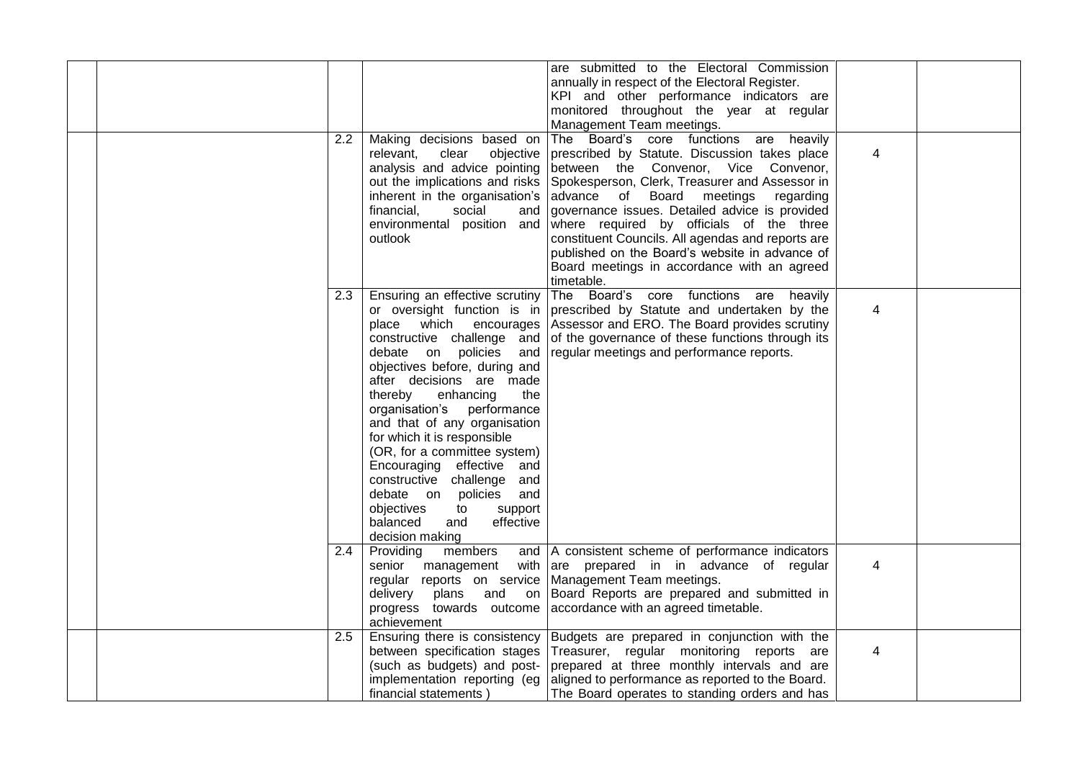|  | 2.2           |                                                                                                                                                                                                                                                                                                                                                                                                                                                                                                                                                          | are submitted to the Electoral Commission<br>annually in respect of the Electoral Register.<br>KPI and other performance indicators are<br>monitored throughout the year at regular<br>Management Team meetings.                                                                                                                                                                                                                                                                              |                |  |
|--|---------------|----------------------------------------------------------------------------------------------------------------------------------------------------------------------------------------------------------------------------------------------------------------------------------------------------------------------------------------------------------------------------------------------------------------------------------------------------------------------------------------------------------------------------------------------------------|-----------------------------------------------------------------------------------------------------------------------------------------------------------------------------------------------------------------------------------------------------------------------------------------------------------------------------------------------------------------------------------------------------------------------------------------------------------------------------------------------|----------------|--|
|  |               | Making decisions based on<br>clear<br>objective<br>relevant,<br>analysis and advice pointing<br>out the implications and risks<br>inherent in the organisation's<br>financial,<br>social<br>and<br>environmental position and<br>outlook                                                                                                                                                                                                                                                                                                                 | The Board's core functions are heavily<br>prescribed by Statute. Discussion takes place<br>between the Convenor, Vice Convenor,<br>Spokesperson, Clerk, Treasurer and Assessor in<br>advance of Board meetings<br>regarding<br>governance issues. Detailed advice is provided<br>where required by officials of the three<br>constituent Councils. All agendas and reports are<br>published on the Board's website in advance of<br>Board meetings in accordance with an agreed<br>timetable. | $\overline{4}$ |  |
|  | 2.3           | Ensuring an effective scrutiny<br>or oversight function is in<br>which encourages<br>place<br>constructive challenge and<br>debate on policies<br>and<br>objectives before, during and<br>after decisions are made<br>thereby<br>the<br>enhancing<br>organisation's performance<br>and that of any organisation<br>for which it is responsible<br>(OR, for a committee system)<br>Encouraging effective and<br>constructive challenge and<br>debate on policies<br>and<br>objectives<br>support<br>to<br>effective<br>balanced<br>and<br>decision making | The Board's core functions are<br>heavily<br>prescribed by Statute and undertaken by the<br>Assessor and ERO. The Board provides scrutiny<br>of the governance of these functions through its<br>regular meetings and performance reports.                                                                                                                                                                                                                                                    | $\overline{4}$ |  |
|  | 2.4           | Providing<br>members<br>regular reports on service   Management Team meetings.<br>delivery<br>plans<br>and<br>on<br>achievement                                                                                                                                                                                                                                                                                                                                                                                                                          | and   A consistent scheme of performance indicators<br>senior management with are prepared in in advance of regular<br>Board Reports are prepared and submitted in<br>progress towards outcome accordance with an agreed timetable.                                                                                                                                                                                                                                                           | 4              |  |
|  | $2.5^{\circ}$ | Ensuring there is consistency<br>between specification stages<br>(such as budgets) and post-<br>implementation reporting (eg<br>financial statements)                                                                                                                                                                                                                                                                                                                                                                                                    | Budgets are prepared in conjunction with the<br>Treasurer, regular monitoring reports are<br>prepared at three monthly intervals and are<br>aligned to performance as reported to the Board.<br>The Board operates to standing orders and has                                                                                                                                                                                                                                                 | 4              |  |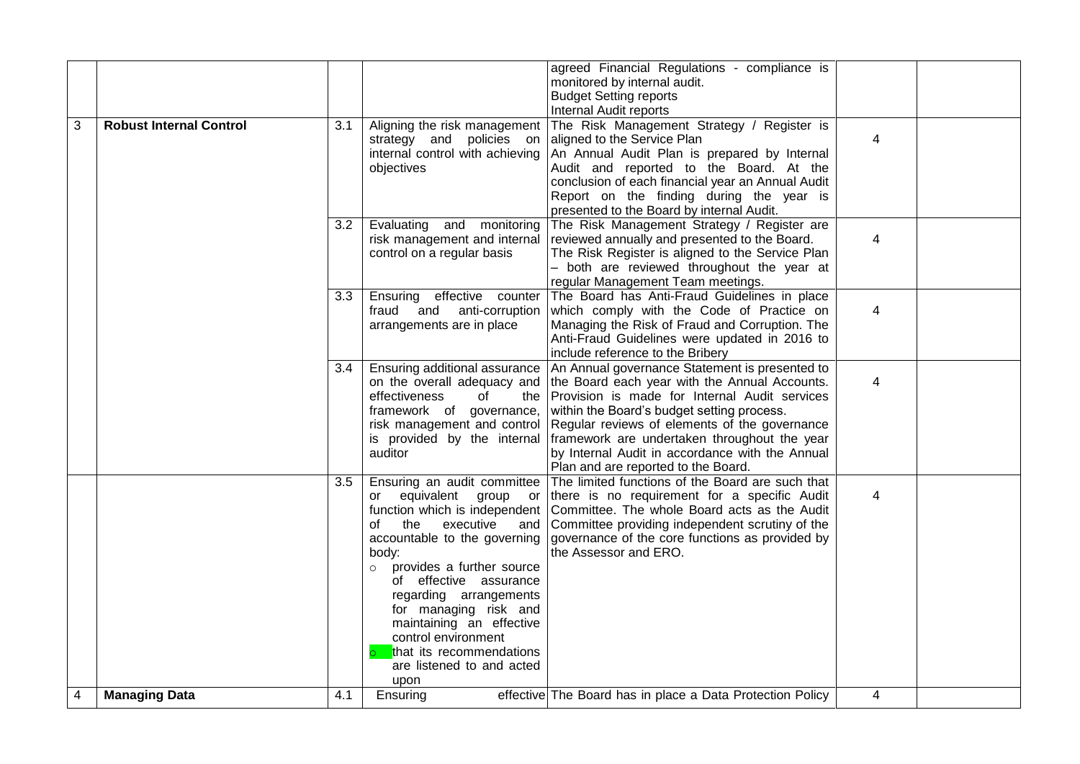|   |                                |     |                                       | agreed Financial Regulations - compliance is                                                 |                |  |
|---|--------------------------------|-----|---------------------------------------|----------------------------------------------------------------------------------------------|----------------|--|
|   |                                |     |                                       | monitored by internal audit.                                                                 |                |  |
|   |                                |     |                                       | <b>Budget Setting reports</b>                                                                |                |  |
|   |                                |     |                                       | Internal Audit reports                                                                       |                |  |
| 3 | <b>Robust Internal Control</b> | 3.1 | Aligning the risk management          | The Risk Management Strategy / Register is                                                   |                |  |
|   |                                |     | strategy and policies on              | aligned to the Service Plan                                                                  | 4              |  |
|   |                                |     | internal control with achieving       | An Annual Audit Plan is prepared by Internal                                                 |                |  |
|   |                                |     | objectives                            | Audit and reported to the Board. At the<br>conclusion of each financial year an Annual Audit |                |  |
|   |                                |     |                                       | Report on the finding during the year is                                                     |                |  |
|   |                                |     |                                       | presented to the Board by internal Audit.                                                    |                |  |
|   |                                |     | Evaluating and monitoring             | The Risk Management Strategy / Register are                                                  |                |  |
|   |                                | 3.2 | risk management and internal          | reviewed annually and presented to the Board.                                                | 4              |  |
|   |                                |     | control on a regular basis            | The Risk Register is aligned to the Service Plan                                             |                |  |
|   |                                |     |                                       | - both are reviewed throughout the year at                                                   |                |  |
|   |                                |     |                                       | regular Management Team meetings.                                                            |                |  |
|   |                                | 3.3 | Ensuring effective counter            | The Board has Anti-Fraud Guidelines in place                                                 |                |  |
|   |                                |     | fraud and anti-corruption             | which comply with the Code of Practice on                                                    | 4              |  |
|   |                                |     | arrangements are in place             | Managing the Risk of Fraud and Corruption. The                                               |                |  |
|   |                                |     |                                       | Anti-Fraud Guidelines were updated in 2016 to                                                |                |  |
|   |                                |     |                                       | include reference to the Bribery                                                             |                |  |
|   |                                | 3.4 | Ensuring additional assurance         | An Annual governance Statement is presented to                                               |                |  |
|   |                                |     | on the overall adequacy and           | the Board each year with the Annual Accounts.                                                | $\overline{4}$ |  |
|   |                                |     | effectiveness<br>0f<br>the            | Provision is made for Internal Audit services                                                |                |  |
|   |                                |     | framework of governance,              | within the Board's budget setting process.                                                   |                |  |
|   |                                |     | risk management and control           | Regular reviews of elements of the governance                                                |                |  |
|   |                                |     | is provided by the internal           | framework are undertaken throughout the year                                                 |                |  |
|   |                                |     | auditor                               | by Internal Audit in accordance with the Annual                                              |                |  |
|   |                                |     |                                       | Plan and are reported to the Board.                                                          |                |  |
|   |                                | 3.5 | Ensuring an audit committee           | The limited functions of the Board are such that                                             |                |  |
|   |                                |     | or equivalent group or                | there is no requirement for a specific Audit                                                 | 4              |  |
|   |                                |     | function which is independent         | Committee. The whole Board acts as the Audit                                                 |                |  |
|   |                                |     | executive<br>the<br>of<br>and         | Committee providing independent scrutiny of the                                              |                |  |
|   |                                |     | accountable to the governing<br>body: | governance of the core functions as provided by<br>the Assessor and ERO.                     |                |  |
|   |                                |     | provides a further source<br>$\circ$  |                                                                                              |                |  |
|   |                                |     | of effective assurance                |                                                                                              |                |  |
|   |                                |     | regarding arrangements                |                                                                                              |                |  |
|   |                                |     | for managing risk and                 |                                                                                              |                |  |
|   |                                |     | maintaining an effective              |                                                                                              |                |  |
|   |                                |     | control environment                   |                                                                                              |                |  |
|   |                                |     | that its recommendations              |                                                                                              |                |  |
|   |                                |     | are listened to and acted             |                                                                                              |                |  |
|   |                                |     | upon                                  |                                                                                              |                |  |
| 4 | <b>Managing Data</b>           | 4.1 | Ensuring                              | effective The Board has in place a Data Protection Policy                                    | 4              |  |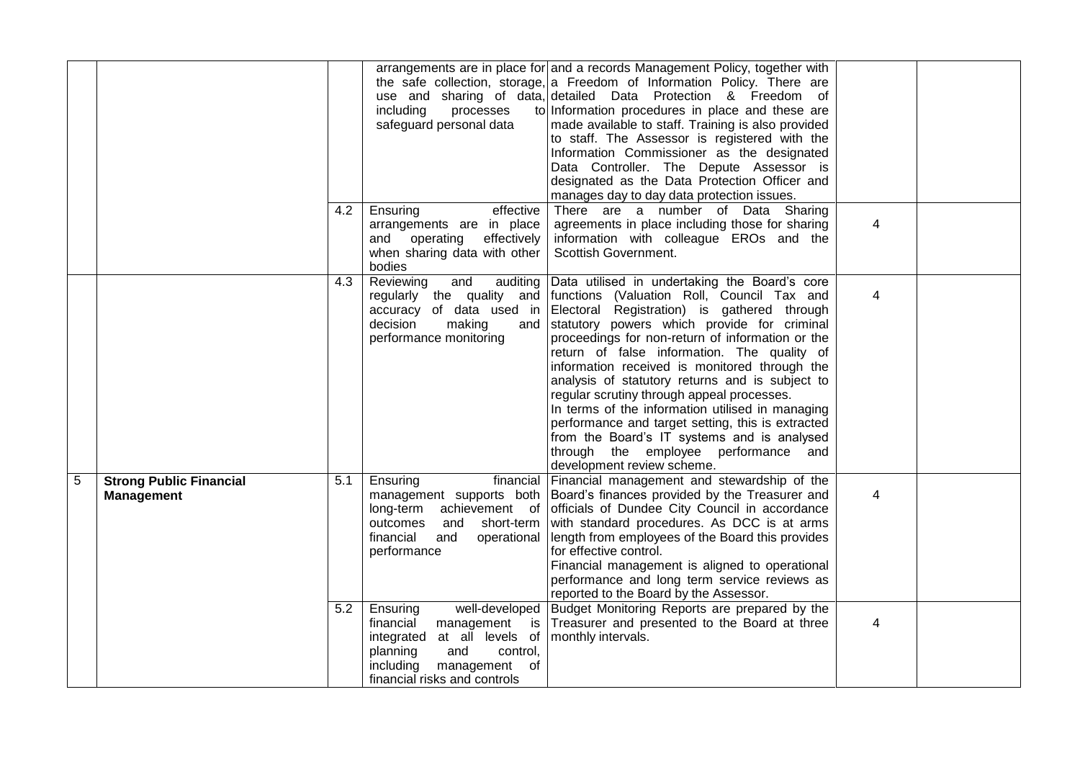|   |                                                     | 4.2 | including<br>processes<br>safeguard personal data<br>Ensuring<br>effective<br>arrangements are in place<br>effectively<br>and operating<br>when sharing data with other<br>bodies       | arrangements are in place for and a records Management Policy, together with<br>the safe collection, storage, a Freedom of Information Policy. There are<br>use and sharing of data, detailed Data Protection & Freedom of<br>to Information procedures in place and these are<br>made available to staff. Training is also provided<br>to staff. The Assessor is registered with the<br>Information Commissioner as the designated<br>Data Controller. The Depute Assessor is<br>designated as the Data Protection Officer and<br>manages day to day data protection issues.<br>There are a number of Data Sharing<br>agreements in place including those for sharing<br>information with colleague EROs and the<br>Scottish Government. | 4              |  |
|---|-----------------------------------------------------|-----|-----------------------------------------------------------------------------------------------------------------------------------------------------------------------------------------|-------------------------------------------------------------------------------------------------------------------------------------------------------------------------------------------------------------------------------------------------------------------------------------------------------------------------------------------------------------------------------------------------------------------------------------------------------------------------------------------------------------------------------------------------------------------------------------------------------------------------------------------------------------------------------------------------------------------------------------------|----------------|--|
|   |                                                     | 4.3 | Reviewing<br>and<br>accuracy of data used in<br>decision<br>making<br>and<br>performance monitoring                                                                                     | auditing Data utilised in undertaking the Board's core<br>regularly the quality and functions (Valuation Roll, Council Tax and<br>Electoral Registration) is gathered through<br>statutory powers which provide for criminal<br>proceedings for non-return of information or the<br>return of false information. The quality of<br>information received is monitored through the<br>analysis of statutory returns and is subject to<br>regular scrutiny through appeal processes.<br>In terms of the information utilised in managing<br>performance and target setting, this is extracted<br>from the Board's IT systems and is analysed<br>through the employee performance and<br>development review scheme.                           | 4              |  |
| 5 | <b>Strong Public Financial</b><br><b>Management</b> | 5.1 | Ensuring<br>financial<br>long-term<br>outcomes<br>short-term<br>and<br>financial<br>operational<br>and<br>performance                                                                   | Financial management and stewardship of the<br>management supports both Board's finances provided by the Treasurer and<br>achievement of officials of Dundee City Council in accordance<br>with standard procedures. As DCC is at arms<br>length from employees of the Board this provides<br>for effective control.<br>Financial management is aligned to operational<br>performance and long term service reviews as<br>reported to the Board by the Assessor.                                                                                                                                                                                                                                                                          | $\overline{4}$ |  |
|   |                                                     | 5.2 | well-developed<br>Ensuring<br>financial<br>management is<br>at all levels of<br>integrated<br>planning<br>and<br>control,<br>including<br>management of<br>financial risks and controls | Budget Monitoring Reports are prepared by the<br>Treasurer and presented to the Board at three<br>monthly intervals.                                                                                                                                                                                                                                                                                                                                                                                                                                                                                                                                                                                                                      | 4              |  |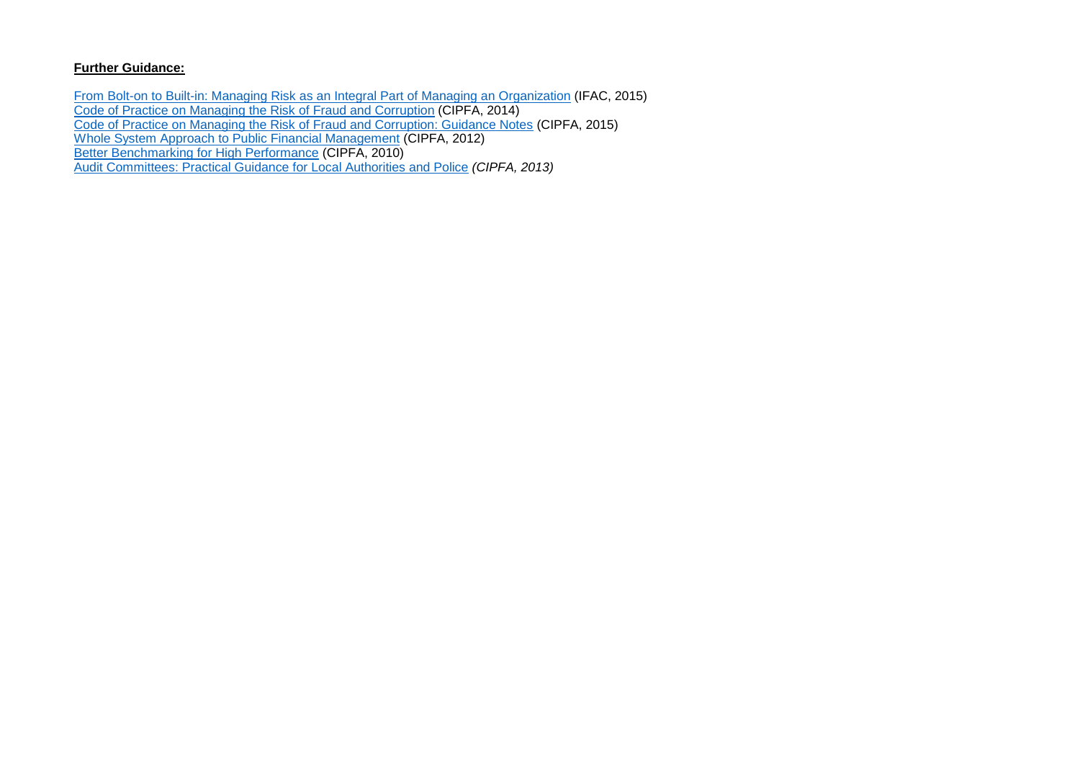[From Bolt-on to Built-in: Managing Risk as an Integral Part of Managing an](https://www.ifac.org/publications-resources/bolt-built) Organization (IFAC, 2015) [Code of Practice on Managing the Risk of Fraud and Corruption](http://www.cipfa.org/services/networks/better-governance-forum/counter-fraud-documentation/code-of-practice-on-managing-the-risk-of-fraud-and-corruption) (CIPFA, 2014) [Code of Practice on Managing the Risk of Fraud and Corruption: Guidance Notes](http://www.cipfa.org/policy-and-guidance/publications/c/code-of-practice-on-managing-the-risk-of-fraud-and-corruption-guidance-notes-pdf) (CIPFA, 2015) [Whole System Approach to Public Financial Management](http://www.cipfa.org/policy-and-guidance/reports/whole-system-approach-volume-1) (CIPFA, 2012) [Better Benchmarking for High Performance](http://www.cipfa.org/policy-and-guidance/publications/b/better-benchmarking-for-high-performance-pdf) (CIPFA, 2010) Audit [Committees: Practical Guidance for Local Authorities and Police](http://www.cipfa.org/policy-and-guidance/publications/a/audit-committees-practical-guidance-for-local-authorities-and-police-2013-edition-pdf) *(CIPFA, 2013)*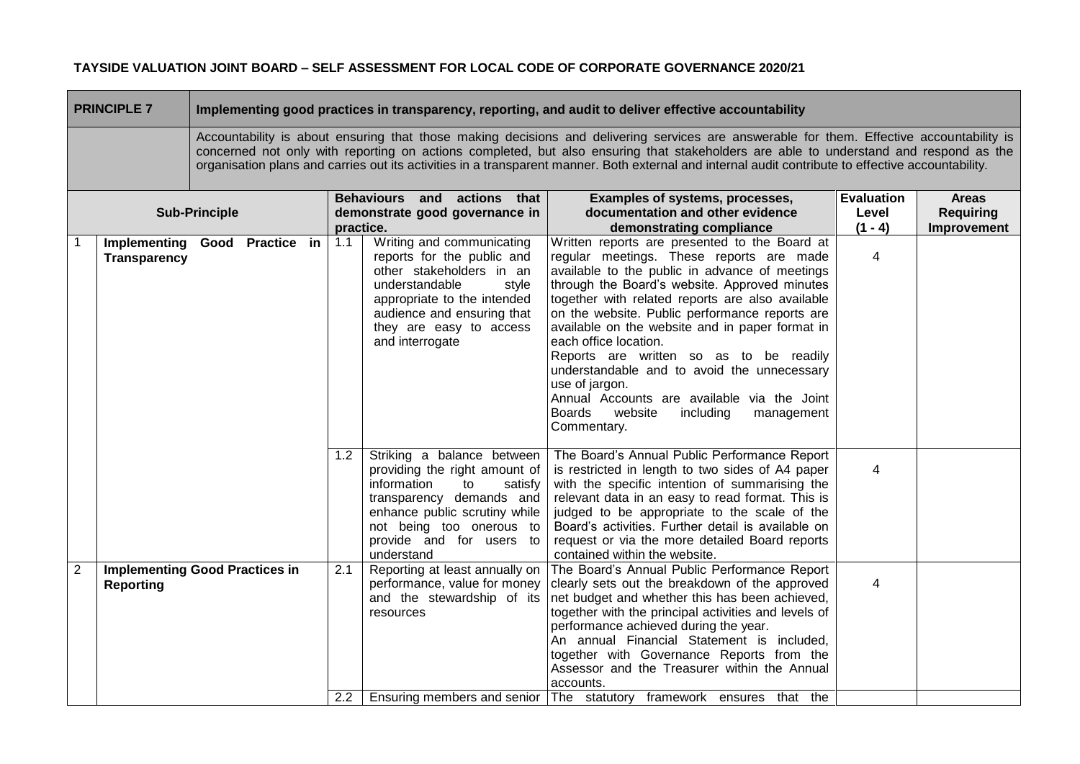| <b>PRINCIPLE 7</b>   |                                                           | Implementing good practices in transparency, reporting, and audit to deliver effective accountability |  |  |                                                                                                                                                                               |                                                                                                                                                                                                                                                                                                                                                                                                                                           |                                                                                                                                                                                                                                                                                                                                                                                                                                                                                                                                                                                                          |                                                 |  |  |  |
|----------------------|-----------------------------------------------------------|-------------------------------------------------------------------------------------------------------|--|--|-------------------------------------------------------------------------------------------------------------------------------------------------------------------------------|-------------------------------------------------------------------------------------------------------------------------------------------------------------------------------------------------------------------------------------------------------------------------------------------------------------------------------------------------------------------------------------------------------------------------------------------|----------------------------------------------------------------------------------------------------------------------------------------------------------------------------------------------------------------------------------------------------------------------------------------------------------------------------------------------------------------------------------------------------------------------------------------------------------------------------------------------------------------------------------------------------------------------------------------------------------|-------------------------------------------------|--|--|--|
|                      |                                                           |                                                                                                       |  |  |                                                                                                                                                                               | Accountability is about ensuring that those making decisions and delivering services are answerable for them. Effective accountability is<br>concerned not only with reporting on actions completed, but also ensuring that stakeholders are able to understand and respond as the<br>organisation plans and carries out its activities in a transparent manner. Both external and internal audit contribute to effective accountability. |                                                                                                                                                                                                                                                                                                                                                                                                                                                                                                                                                                                                          |                                                 |  |  |  |
| <b>Sub-Principle</b> |                                                           |                                                                                                       |  |  | Behaviours and actions that<br>Examples of systems, processes,<br>documentation and other evidence<br>demonstrate good governance in<br>practice.<br>demonstrating compliance |                                                                                                                                                                                                                                                                                                                                                                                                                                           | <b>Evaluation</b><br>Level<br>$(1 - 4)$                                                                                                                                                                                                                                                                                                                                                                                                                                                                                                                                                                  | <b>Areas</b><br><b>Requiring</b><br>Improvement |  |  |  |
|                      | Implementing Good Practice in<br>Transparency             |                                                                                                       |  |  | 1.1                                                                                                                                                                           | Writing and communicating<br>reports for the public and<br>other stakeholders in an<br>understandable<br>style<br>appropriate to the intended<br>audience and ensuring that<br>they are easy to access<br>and interrogate                                                                                                                                                                                                                 | Written reports are presented to the Board at<br>regular meetings. These reports are made<br>available to the public in advance of meetings<br>through the Board's website. Approved minutes<br>together with related reports are also available<br>on the website. Public performance reports are<br>available on the website and in paper format in<br>each office location.<br>Reports are written so as to be readily<br>understandable and to avoid the unnecessary<br>use of jargon.<br>Annual Accounts are available via the Joint<br>Boards<br>website<br>including<br>management<br>Commentary. | $\overline{4}$                                  |  |  |  |
|                      |                                                           |                                                                                                       |  |  | 1.2                                                                                                                                                                           | Striking a balance between<br>providing the right amount of<br>information<br>to<br>satisfy<br>transparency demands and<br>enhance public scrutiny while<br>not being too onerous to<br>provide and for users to<br>understand                                                                                                                                                                                                            | The Board's Annual Public Performance Report<br>is restricted in length to two sides of A4 paper<br>with the specific intention of summarising the<br>relevant data in an easy to read format. This is<br>judged to be appropriate to the scale of the<br>Board's activities. Further detail is available on<br>request or via the more detailed Board reports<br>contained within the website.                                                                                                                                                                                                          | 4                                               |  |  |  |
| $\overline{2}$       | <b>Implementing Good Practices in</b><br><b>Reporting</b> |                                                                                                       |  |  | 2.1<br>2.2                                                                                                                                                                    | Reporting at least annually on<br>performance, value for money<br>and the stewardship of its<br>resources                                                                                                                                                                                                                                                                                                                                 | The Board's Annual Public Performance Report<br>clearly sets out the breakdown of the approved<br>net budget and whether this has been achieved,<br>together with the principal activities and levels of<br>performance achieved during the year.<br>An annual Financial Statement is included,<br>together with Governance Reports from the<br>Assessor and the Treasurer within the Annual<br>accounts.<br>Ensuring members and senior The statutory framework ensures that the                                                                                                                        | 4                                               |  |  |  |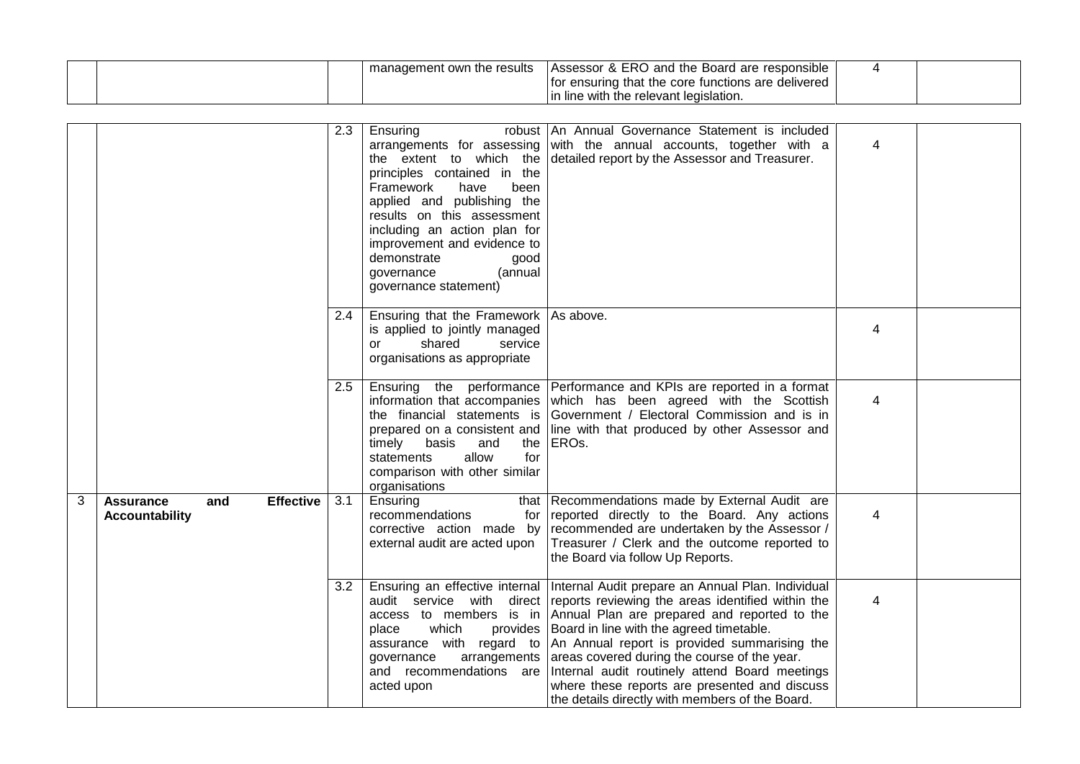|  | agement own the results<br>manage | - ERC<br>) and the Board are<br>Assessor<br>: responsible<br>$\alpha$ |  |
|--|-----------------------------------|-----------------------------------------------------------------------|--|
|  |                                   | · ensuring that the core functions are ∈<br>delivered<br>TOI          |  |
|  |                                   | e with the relevant legislation.<br>ïne                               |  |

|   |                                                                      | 2.3 | Ensuring<br>the extent to which the<br>principles contained in the<br>been<br>Framework<br>have<br>applied and publishing the<br>results on this assessment<br>including an action plan for<br>improvement and evidence to<br>demonstrate<br>good<br>(annual<br>governance<br>governance statement) | robust An Annual Governance Statement is included<br>arrangements for assessing with the annual accounts, together with a<br>detailed report by the Assessor and Treasurer.                                                                                                                                                                                                                                                                                                                                                                                                                  | 4              |  |
|---|----------------------------------------------------------------------|-----|-----------------------------------------------------------------------------------------------------------------------------------------------------------------------------------------------------------------------------------------------------------------------------------------------------|----------------------------------------------------------------------------------------------------------------------------------------------------------------------------------------------------------------------------------------------------------------------------------------------------------------------------------------------------------------------------------------------------------------------------------------------------------------------------------------------------------------------------------------------------------------------------------------------|----------------|--|
|   |                                                                      | 2.4 | Ensuring that the Framework   As above.<br>is applied to jointly managed<br>shared<br>service<br>or<br>organisations as appropriate                                                                                                                                                                 |                                                                                                                                                                                                                                                                                                                                                                                                                                                                                                                                                                                              | $\overline{4}$ |  |
|   |                                                                      | 2.5 | information that accompanies<br>the financial statements is<br>prepared on a consistent and<br>and<br>timely<br>basis<br>the<br>allow<br>for<br>statements<br>comparison with other similar<br>organisations                                                                                        | Ensuring the performance Performance and KPIs are reported in a format<br>which has been agreed with the Scottish<br>Government / Electoral Commission and is in<br>line with that produced by other Assessor and<br>ERO <sub>s</sub> .                                                                                                                                                                                                                                                                                                                                                      | 4              |  |
| 3 | <b>Effective</b><br><b>Assurance</b><br>and<br><b>Accountability</b> | 3.1 | Ensuring<br>recommendations<br>for<br>corrective action made by<br>external audit are acted upon                                                                                                                                                                                                    | that Recommendations made by External Audit are<br>reported directly to the Board. Any actions<br>recommended are undertaken by the Assessor /<br>Treasurer / Clerk and the outcome reported to<br>the Board via follow Up Reports.                                                                                                                                                                                                                                                                                                                                                          | 4              |  |
|   |                                                                      | 3.2 | which<br>place<br>governance<br>and recommendations are<br>acted upon                                                                                                                                                                                                                               | Ensuring an effective internal   Internal Audit prepare an Annual Plan. Individual<br>audit service with direct reports reviewing the areas identified within the<br>access to members is in Annual Plan are prepared and reported to the<br>provides   Board in line with the agreed timetable.<br>assurance with regard to An Annual report is provided summarising the<br>arrangements areas covered during the course of the year.<br>Internal audit routinely attend Board meetings<br>where these reports are presented and discuss<br>the details directly with members of the Board. | 4              |  |